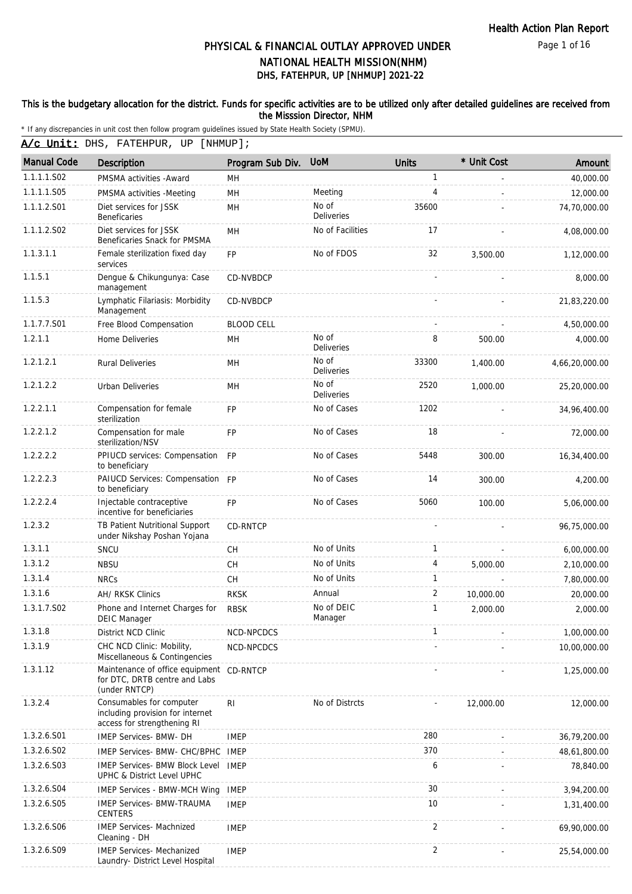Page 1 of 16

# DHS, FATEHPUR, UP [NHMUP] 2021-22 PHYSICAL & FINANCIAL OUTLAY APPROVED UNDER NATIONAL HEALTH MISSION(NHM)

### This is the budgetary allocation for the district. Funds for specific activities are to be utilized only after detailed guidelines are received from the Misssion Director, NHM

|  |  | A/c Unit: DHS, FATEHPUR, UP [NHMUP]; |  |  |
|--|--|--------------------------------------|--|--|
|--|--|--------------------------------------|--|--|

| <b>Manual Code</b> | <b>Description</b>                                                                          | Program Sub Div.  | <b>UoM</b>                 | <b>Units</b>   | * Unit Cost | Amount         |
|--------------------|---------------------------------------------------------------------------------------------|-------------------|----------------------------|----------------|-------------|----------------|
| 1.1.1.1.S02        | PMSMA activities - Award                                                                    | MН                |                            | 1              |             | 40,000.00      |
| 1.1.1.1.S05        | PMSMA activities -Meeting                                                                   | MH                | Meeting                    | 4              |             | 12,000.00      |
| 1.1.1.2.S01        | Diet services for JSSK<br><b>Beneficaries</b>                                               | MH                | No of<br><b>Deliveries</b> | 35600          |             | 74,70,000.00   |
| 1.1.1.2.S02        | Diet services for JSSK<br>Beneficaries Snack for PMSMA                                      | <b>MH</b>         | No of Facilities           | 17             |             | 4,08,000.00    |
| 1.1.3.1.1          | Female sterilization fixed day<br>services                                                  | <b>FP</b>         | No of FDOS                 | 32             | 3,500.00    | 1,12,000.00    |
| 1.1.5.1            | Dengue & Chikungunya: Case<br>management                                                    | CD-NVBDCP         |                            |                |             | 8,000.00       |
| 1.1.5.3            | Lymphatic Filariasis: Morbidity<br>Management                                               | CD-NVBDCP         |                            |                |             | 21,83,220.00   |
| 1.1.7.7.S01        | Free Blood Compensation                                                                     | <b>BLOOD CELL</b> |                            |                |             | 4,50,000.00    |
| 1.2.1.1            | Home Deliveries                                                                             | MН                | No of<br><b>Deliveries</b> | 8              | 500.00      | 4,000.00       |
| 1.2.1.2.1          | <b>Rural Deliveries</b>                                                                     | MН                | No of<br><b>Deliveries</b> | 33300          | 1,400.00    | 4,66,20,000.00 |
| 1.2.1.2.2          | <b>Urban Deliveries</b>                                                                     | MH                | No of<br><b>Deliveries</b> | 2520           | 1,000.00    | 25,20,000.00   |
| 1.2.2.1.1          | Compensation for female<br>sterilization                                                    | <b>FP</b>         | No of Cases                | 1202           |             | 34,96,400.00   |
| 1.2.2.1.2          | Compensation for male<br>sterilization/NSV                                                  | <b>FP</b>         | No of Cases                | 18             |             | 72,000.00      |
| 1.2.2.2.2          | PPIUCD services: Compensation FP<br>to beneficiary                                          |                   | No of Cases                | 5448           | 300.00      | 16,34,400.00   |
| 1.2.2.2.3          | PAIUCD Services: Compensation FP<br>to beneficiary                                          |                   | No of Cases                | 14             | 300.00      | 4,200.00       |
| 1.2.2.2.4          | Injectable contraceptive<br>incentive for beneficiaries                                     | <b>FP</b>         | No of Cases                | 5060           | 100.00      | 5,06,000.00    |
| 1.2.3.2            | TB Patient Nutritional Support<br>under Nikshay Poshan Yojana                               | <b>CD-RNTCP</b>   |                            |                |             | 96,75,000.00   |
| 1.3.1.1            | SNCU                                                                                        | <b>CH</b>         | No of Units                | 1              |             | 6,00,000.00    |
| 1.3.1.2            | <b>NBSU</b>                                                                                 | CH                | No of Units                | 4              | 5.000.00    | 2,10,000.00    |
| 1.3.1.4            | <b>NRCs</b>                                                                                 | <b>CH</b>         | No of Units                | 1              |             | 7,80,000.00    |
| 1.3.1.6            | AH/ RKSK Clinics                                                                            | <b>RKSK</b>       | Annual                     | 2              | 10,000.00   | 20,000.00      |
| 1.3.1.7.S02        | Phone and Internet Charges for<br><b>DEIC Manager</b>                                       | <b>RBSK</b>       | No of DEIC<br>Manager      | 1              | 2,000.00    | 2,000.00       |
| 1.3.1.8            | District NCD Clinic                                                                         | NCD-NPCDCS        |                            |                |             | 1,00,000.00    |
| 1.3.1.9            | CHC NCD Clinic: Mobility,<br>Miscellaneous & Contingencies                                  | NCD-NPCDCS        |                            |                |             | 10,00,000.00   |
| 1.3.1.12           | Maintenance of office equipment<br>for DTC, DRTB centre and Labs<br>(under RNTCP)           | CD-RNTCP          |                            |                |             | 1,25,000.00    |
| 1.3.2.4            | Consumables for computer<br>including provision for internet<br>access for strengthening RI | RI.               | No of Distrcts             |                | 12,000.00   | 12,000.00      |
| 1.3.2.6.S01        | <b>IMEP Services- BMW- DH</b>                                                               | <b>IMEP</b>       |                            | 280            |             | 36,79,200.00   |
| 1.3.2.6.502        | IMEP Services- BMW- CHC/BPHC                                                                | IMEP              |                            | 370            |             | 48,61,800.00   |
| 1.3.2.6.S03        | IMEP Services- BMW Block Level<br>UPHC & District Level UPHC                                | <b>IMEP</b>       |                            | 6              |             | 78,840.00      |
| 1.3.2.6.S04        | <b>IMEP Services - BMW-MCH Wing</b>                                                         | <b>IMEP</b>       |                            | 30             |             | 3,94,200.00    |
| 1.3.2.6.S05        | <b>IMEP Services- BMW-TRAUMA</b><br><b>CENTERS</b>                                          | <b>IMEP</b>       |                            | 10             |             | 1,31,400.00    |
| 1.3.2.6.S06        | IMEP Services- Machnized<br>Cleaning - DH                                                   | <b>IMEP</b>       |                            | $\overline{2}$ |             | 69,90,000.00   |
| 1.3.2.6.S09        | <b>IMEP Services- Mechanized</b><br>Laundry- District Level Hospital                        | <b>IMEP</b>       |                            | 2              |             | 25,54,000.00   |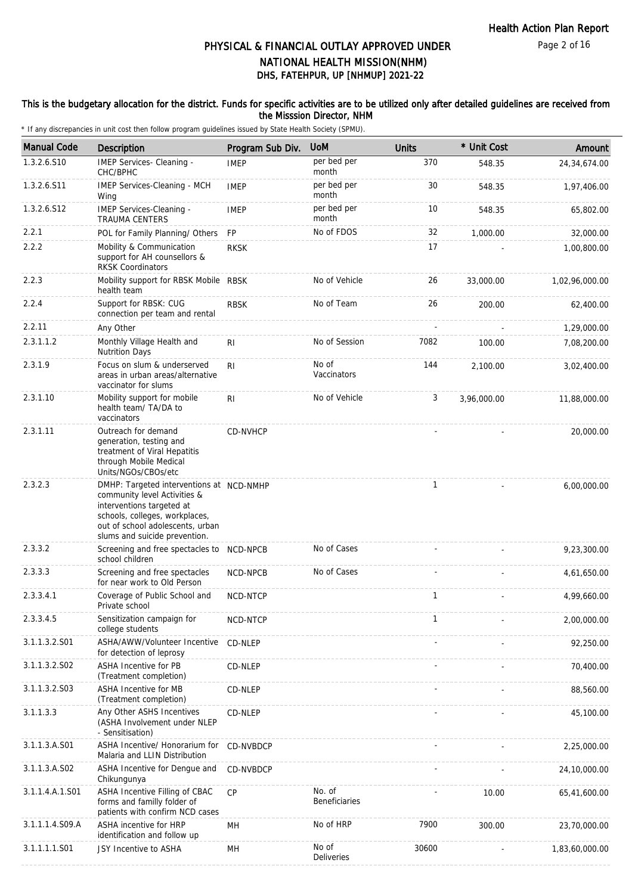### This is the budgetary allocation for the district. Funds for specific activities are to be utilized only after detailed guidelines are received from the Misssion Director, NHM

| <b>Manual Code</b> | <b>Description</b>                                                                                                                                                                                           | Program Sub Div. | <b>UoM</b>                 | <b>Units</b> | * Unit Cost | Amount         |
|--------------------|--------------------------------------------------------------------------------------------------------------------------------------------------------------------------------------------------------------|------------------|----------------------------|--------------|-------------|----------------|
| 1.3.2.6.S10        | IMEP Services- Cleaning -<br>CHC/BPHC                                                                                                                                                                        | <b>IMEP</b>      | per bed per<br>month       | 370          | 548.35      | 24,34,674.00   |
| 1.3.2.6.S11        | IMEP Services-Cleaning - MCH<br>Wing                                                                                                                                                                         | <b>IMEP</b>      | per bed per<br>month       | 30           | 548.35      | 1,97,406.00    |
| 1.3.2.6.S12        | IMEP Services-Cleaning -<br><b>TRAUMA CENTERS</b>                                                                                                                                                            | <b>IMEP</b>      | per bed per<br>month       | 10           | 548.35      | 65,802.00      |
| 2.2.1              | POL for Family Planning/ Others                                                                                                                                                                              | <b>FP</b>        | No of FDOS                 | 32           | 1,000.00    | 32,000.00      |
| 2.2.2              | Mobility & Communication<br>support for AH counsellors &<br><b>RKSK Coordinators</b>                                                                                                                         | <b>RKSK</b>      |                            | 17           |             | 1,00,800.00    |
| 2.2.3              | Mobility support for RBSK Mobile RBSK<br>health team                                                                                                                                                         |                  | No of Vehicle              | 26           | 33,000.00   | 1,02,96,000.00 |
| 2.2.4              | Support for RBSK: CUG<br>connection per team and rental                                                                                                                                                      | <b>RBSK</b>      | No of Team                 | 26           | 200.00      | 62,400.00      |
| 2.2.11             | Any Other                                                                                                                                                                                                    |                  |                            |              |             | 1,29,000.00    |
| 2.3.1.1.2          | Monthly Village Health and<br><b>Nutrition Days</b>                                                                                                                                                          | <b>RI</b>        | No of Session              | 7082         | 100.00      | 7,08,200.00    |
| 2.3.1.9            | Focus on slum & underserved<br>areas in urban areas/alternative<br>vaccinator for slums                                                                                                                      | <b>RI</b>        | No of<br>Vaccinators       | 144          | 2,100.00    | 3,02,400.00    |
| 2.3.1.10           | Mobility support for mobile<br>health team/ TA/DA to<br>vaccinators                                                                                                                                          | RI               | No of Vehicle              | 3            | 3,96,000.00 | 11,88,000.00   |
| 2.3.1.11           | Outreach for demand<br>generation, testing and<br>treatment of Viral Hepatitis<br>through Mobile Medical<br>Units/NGOs/CBOs/etc                                                                              | CD-NVHCP         |                            |              |             | 20,000.00      |
| 2.3.2.3            | DMHP: Targeted interventions at NCD-NMHP<br>community level Activities &<br>interventions targeted at<br>schools, colleges, workplaces,<br>out of school adolescents, urban<br>slums and suicide prevention. |                  |                            | $\mathbf{1}$ |             | 6,00,000.00    |
| 2.3.3.2            | Screening and free spectacles to NCD-NPCB<br>school children                                                                                                                                                 |                  | No of Cases                |              |             | 9,23,300.00    |
| 2.3.3.3            | Screening and free spectacles<br>for near work to Old Person                                                                                                                                                 | NCD-NPCB         | No of Cases                |              |             | 4,61,650.00    |
| 2.3.3.4.1          | Coverage of Public School and<br>Private school                                                                                                                                                              | <b>NCD-NTCP</b>  |                            | 1            |             | 4,99,660.00    |
| 2.3.3.4.5          | Sensitization campaign for<br>college students                                                                                                                                                               | NCD-NTCP         |                            | 1            |             | 2,00,000.00    |
| 3.1.1.3.2.S01      | ASHA/AWW/Volunteer Incentive<br>for detection of leprosy                                                                                                                                                     | CD-NLEP          |                            |              |             | 92,250.00      |
| 3.1.1.3.2.S02      | ASHA Incentive for PB<br>(Treatment completion)                                                                                                                                                              | CD-NLEP          |                            |              |             | 70,400.00      |
| 3.1.1.3.2.S03      | ASHA Incentive for MB<br>(Treatment completion)                                                                                                                                                              | CD-NLEP          |                            |              |             | 88,560.00      |
| 3.1.1.3.3          | Any Other ASHS Incentives<br>(ASHA Involvement under NLEP<br>- Sensitisation)                                                                                                                                | CD-NLEP          |                            |              |             | 45,100.00      |
| 3.1.1.3.A.S01      | ASHA Incentive/ Honorarium for<br>Malaria and LLIN Distribution                                                                                                                                              | CD-NVBDCP        |                            |              |             | 2,25,000.00    |
| 3.1.1.3.A.S02      | ASHA Incentive for Dengue and<br>Chikungunya                                                                                                                                                                 | CD-NVBDCP        |                            |              |             | 24,10,000.00   |
| 3.1.1.4.A.1.S01    | ASHA Incentive Filling of CBAC<br>forms and familly folder of<br>patients with confirm NCD cases                                                                                                             | CP               | No. of<br>Beneficiaries    |              | 10.00       | 65,41,600.00   |
| 3.1.1.1.4.S09.A    | ASHA incentive for HRP<br>identification and follow up                                                                                                                                                       | MН               | No of HRP                  | 7900         | 300.00      | 23,70,000.00   |
| 3.1.1.1.1.S01      | JSY Incentive to ASHA                                                                                                                                                                                        | MH               | No of<br><b>Deliveries</b> | 30600        |             | 1,83,60,000.00 |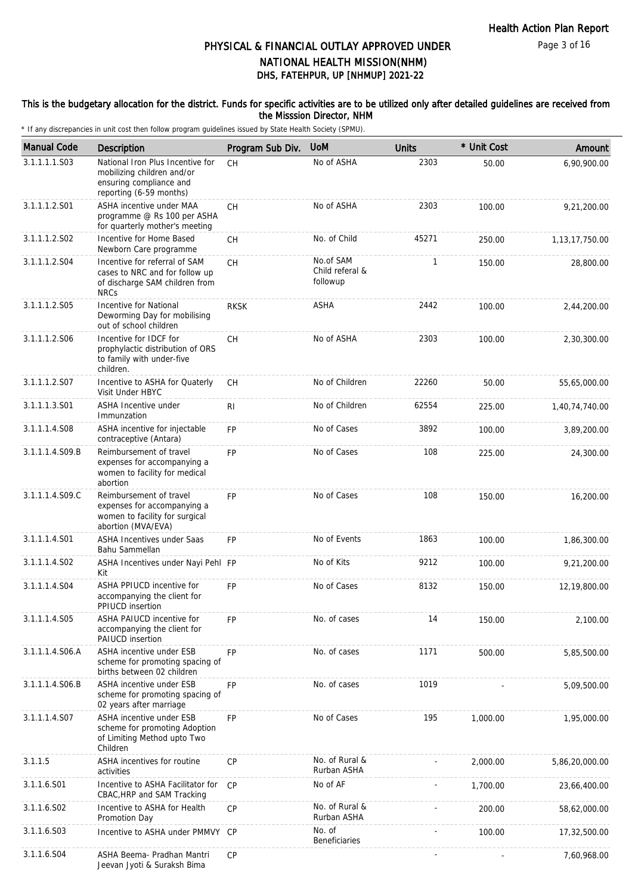### This is the budgetary allocation for the district. Funds for specific activities are to be utilized only after detailed guidelines are received from the Misssion Director, NHM

| <b>Manual Code</b> | Description                                                                                                          | Program Sub Div. | <b>UoM</b>                               | <b>Units</b> | * Unit Cost | Amount            |
|--------------------|----------------------------------------------------------------------------------------------------------------------|------------------|------------------------------------------|--------------|-------------|-------------------|
| 3.1.1.1.1.S03      | National Iron Plus Incentive for<br>mobilizing children and/or<br>ensuring compliance and<br>reporting (6-59 months) | <b>CH</b>        | No of ASHA                               | 2303         | 50.00       | 6,90,900.00       |
| 3.1.1.1.2.S01      | ASHA incentive under MAA<br>programme @ Rs 100 per ASHA<br>for quarterly mother's meeting                            | <b>CH</b>        | No of ASHA                               | 2303         | 100.00      | 9,21,200.00       |
| 3.1.1.1.2.S02      | Incentive for Home Based<br>Newborn Care programme                                                                   | CH               | No. of Child                             | 45271        | 250.00      | 1, 13, 17, 750.00 |
| 3.1.1.1.2.S04      | Incentive for referral of SAM<br>cases to NRC and for follow up<br>of discharge SAM children from<br><b>NRCs</b>     | <b>CH</b>        | No.of SAM<br>Child referal &<br>followup | $\mathbf{1}$ | 150.00      | 28,800.00         |
| 3.1.1.1.2.S05      | Incentive for National<br>Deworming Day for mobilising<br>out of school children                                     | <b>RKSK</b>      | ASHA                                     | 2442         | 100.00      | 2,44,200.00       |
| 3.1.1.1.2.S06      | Incentive for IDCF for<br>prophylactic distribution of ORS<br>to family with under-five<br>children.                 | <b>CH</b>        | No of ASHA                               | 2303         | 100.00      | 2,30,300.00       |
| 3.1.1.1.2.S07      | Incentive to ASHA for Quaterly<br>Visit Under HBYC                                                                   | <b>CH</b>        | No of Children                           | 22260        | 50.00       | 55,65,000.00      |
| 3.1.1.1.3.S01      | ASHA Incentive under<br>Immunzation                                                                                  | R <sub>l</sub>   | No of Children                           | 62554        | 225.00      | 1,40,74,740.00    |
| 3.1.1.1.4.S08      | ASHA incentive for injectable<br>contraceptive (Antara)                                                              | FP               | No of Cases                              | 3892         | 100.00      | 3,89,200.00       |
| 3.1.1.1.4.S09.B    | Reimbursement of travel<br>expenses for accompanying a<br>women to facility for medical<br>abortion                  | FP               | No of Cases                              | 108          | 225.00      | 24,300.00         |
| 3.1.1.1.4.S09.C    | Reimbursement of travel<br>expenses for accompanying a<br>women to facility for surgical<br>abortion (MVA/EVA)       | FP               | No of Cases                              | 108          | 150.00      | 16,200.00         |
| 3.1.1.1.4.S01      | ASHA Incentives under Saas<br>Bahu Sammellan                                                                         | <b>FP</b>        | No of Events                             | 1863         | 100.00      | 1,86,300.00       |
| 3.1.1.1.4.S02      | ASHA Incentives under Nayi Pehl FP<br>Kit                                                                            |                  | No of Kits                               | 9212         | 100.00      | 9,21,200.00       |
| 3.1.1.1.4.S04      | ASHA PPIUCD incentive for<br>accompanying the client for<br>PPIUCD insertion                                         | FP               | No of Cases                              | 8132         | 150.00      | 12,19,800.00      |
| 3.1.1.1.4.S05      | ASHA PAIUCD incentive for<br>accompanying the client for<br>PAIUCD insertion                                         | FP               | No. of cases                             | 14           | 150.00      | 2,100.00          |
| 3.1.1.1.4.S06.A    | ASHA incentive under ESB<br>scheme for promoting spacing of<br>births between 02 children                            | FP               | No. of cases                             | 1171         | 500.00      | 5,85,500.00       |
| 3.1.1.1.4.S06.B    | ASHA incentive under ESB<br>scheme for promoting spacing of<br>02 years after marriage                               | FP               | No. of cases                             | 1019         |             | 5,09,500.00       |
| 3.1.1.1.4.S07      | <b>ASHA incentive under ESB</b><br>scheme for promoting Adoption<br>of Limiting Method upto Two<br>Children          | FP               | No of Cases                              | 195          | 1,000.00    | 1,95,000.00       |
| 3.1.1.5            | ASHA incentives for routine<br>activities                                                                            | CP               | No. of Rural &<br>Rurban ASHA            |              | 2,000.00    | 5,86,20,000.00    |
| 3.1.1.6.S01        | Incentive to ASHA Facilitator for<br>CBAC, HRP and SAM Tracking                                                      | CP               | No of AF                                 |              | 1,700.00    | 23,66,400.00      |
| 3.1.1.6.S02        | Incentive to ASHA for Health<br>Promotion Day                                                                        | СP               | No. of Rural &<br>Rurban ASHA            |              | 200.00      | 58,62,000.00      |
| 3.1.1.6.S03        | Incentive to ASHA under PMMVY                                                                                        | CP               | No. of<br><b>Beneficiaries</b>           |              | 100.00      | 17,32,500.00      |
| 3.1.1.6.S04        | ASHA Beema- Pradhan Mantri<br>Jeevan Jyoti & Suraksh Bima                                                            | <b>CP</b>        |                                          |              |             | 7,60,968.00       |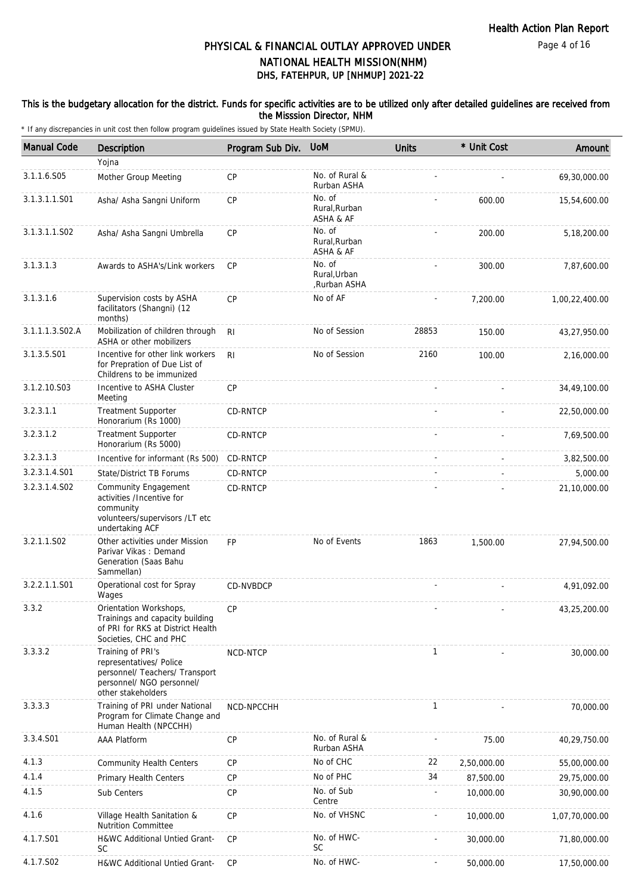### This is the budgetary allocation for the district. Funds for specific activities are to be utilized only after detailed guidelines are received from the Misssion Director, NHM

| <b>Manual Code</b>        | Description                                                                                                                       | Program Sub Div. | <b>UoM</b>                             | <b>Units</b> | * Unit Cost | Amount         |
|---------------------------|-----------------------------------------------------------------------------------------------------------------------------------|------------------|----------------------------------------|--------------|-------------|----------------|
|                           | Yojna                                                                                                                             |                  |                                        |              |             |                |
| 3.1.1.6.S05               | Mother Group Meeting                                                                                                              | <b>CP</b>        | No. of Rural &<br>Rurban ASHA          |              |             | 69,30,000.00   |
| 3.1.3.1.1.S01             | Asha/ Asha Sangni Uniform                                                                                                         | CP               | No. of<br>Rural.Rurban<br>ASHA & AF    |              | 600.00      | 15,54,600.00   |
| 3.1.3.1.1.SO <sub>2</sub> | Asha/ Asha Sangni Umbrella                                                                                                        | <b>CP</b>        | No. of<br>Rural, Rurban<br>ASHA & AF   |              | 200.00      | 5,18,200.00    |
| 3.1.3.1.3                 | Awards to ASHA's/Link workers                                                                                                     | <b>CP</b>        | No. of<br>Rural, Urban<br>Rurban ASHA, |              | 300.00      | 7,87,600.00    |
| 3.1.3.1.6                 | Supervision costs by ASHA<br>facilitators (Shangni) (12<br>months)                                                                | <b>CP</b>        | No of AF                               |              | 7,200.00    | 1,00,22,400.00 |
| 3.1.1.1.3.S02.A           | Mobilization of children through<br>ASHA or other mobilizers                                                                      | RI.              | No of Session                          | 28853        | 150.00      | 43,27,950.00   |
| 3.1.3.5.S01               | Incentive for other link workers<br>for Prepration of Due List of<br>Childrens to be immunized                                    | R <sub>l</sub>   | No of Session                          | 2160         | 100.00      | 2,16,000.00    |
| 3.1.2.10.S03              | Incentive to ASHA Cluster<br>Meeting                                                                                              | CP               |                                        |              |             | 34,49,100.00   |
| 3.2.3.1.1                 | <b>Treatment Supporter</b><br>Honorarium (Rs 1000)                                                                                | CD-RNTCP         |                                        |              |             | 22,50,000.00   |
| 3.2.3.1.2                 | <b>Treatment Supporter</b><br>Honorarium (Rs 5000)                                                                                | CD-RNTCP         |                                        |              |             | 7,69,500.00    |
| 3.2.3.1.3                 | Incentive for informant (Rs 500)                                                                                                  | CD-RNTCP         |                                        |              |             | 3,82,500.00    |
| 3.2.3.1.4.S01             | State/District TB Forums                                                                                                          | CD-RNTCP         |                                        |              |             | 5,000.00       |
| 3.2.3.1.4.S02             | Community Engagement<br>activities /Incentive for<br>community<br>volunteers/supervisors /LT etc<br>undertaking ACF               | CD-RNTCP         |                                        |              |             | 21,10,000.00   |
| 3.2.1.1.S02               | Other activities under Mission<br>Parivar Vikas: Demand<br>Generation (Saas Bahu<br>Sammellan)                                    | <b>FP</b>        | No of Events                           | 1863         | 1,500.00    | 27,94,500.00   |
| 3.2.2.1.1.S01             | Operational cost for Spray<br>Wages                                                                                               | CD-NVBDCP        |                                        |              |             | 4,91,092.00    |
| 3.3.2                     | Orientation Workshops,<br>Trainings and capacity building<br>of PRI for RKS at District Health<br>Societies, CHC and PHC          | СP               |                                        |              |             | 43,25,200.00   |
| 3.3.3.2                   | Training of PRI's<br>representatives/ Police<br>personnel/ Teachers/ Transport<br>personnel/ NGO personnel/<br>other stakeholders | NCD-NTCP         |                                        | $\mathbf{1}$ |             | 30,000.00      |
| 3.3.3.3                   | Training of PRI under National<br>Program for Climate Change and<br>Human Health (NPCCHH)                                         | NCD-NPCCHH       |                                        | $\mathbf{1}$ |             | 70,000.00      |
| 3.3.4.S01                 | <b>AAA Platform</b>                                                                                                               | <b>CP</b>        | No. of Rural &<br>Rurban ASHA          |              | 75.00       | 40,29,750.00   |
| 4.1.3                     | <b>Community Health Centers</b>                                                                                                   | <b>CP</b>        | No of CHC                              | 22           | 2,50,000.00 | 55,00,000.00   |
| 4.1.4                     | Primary Health Centers                                                                                                            | CP               | No of PHC                              | 34           | 87,500.00   | 29,75,000.00   |
| 4.1.5                     | Sub Centers                                                                                                                       | <b>CP</b>        | No. of Sub<br>Centre                   |              | 10,000.00   | 30,90,000.00   |
| 4.1.6                     | Village Health Sanitation &<br><b>Nutrition Committee</b>                                                                         | <b>CP</b>        | No. of VHSNC                           |              | 10,000.00   | 1,07,70,000.00 |
| 4.1.7.S01                 | <b>H&amp;WC Additional Untied Grant-</b><br><b>SC</b>                                                                             | CP               | No. of HWC-<br><b>SC</b>               |              | 30,000.00   | 71,80,000.00   |
| 4.1.7.S02                 | H&WC Additional Untied Grant-                                                                                                     | <b>CP</b>        | No. of HWC-                            |              | 50,000.00   | 17,50,000.00   |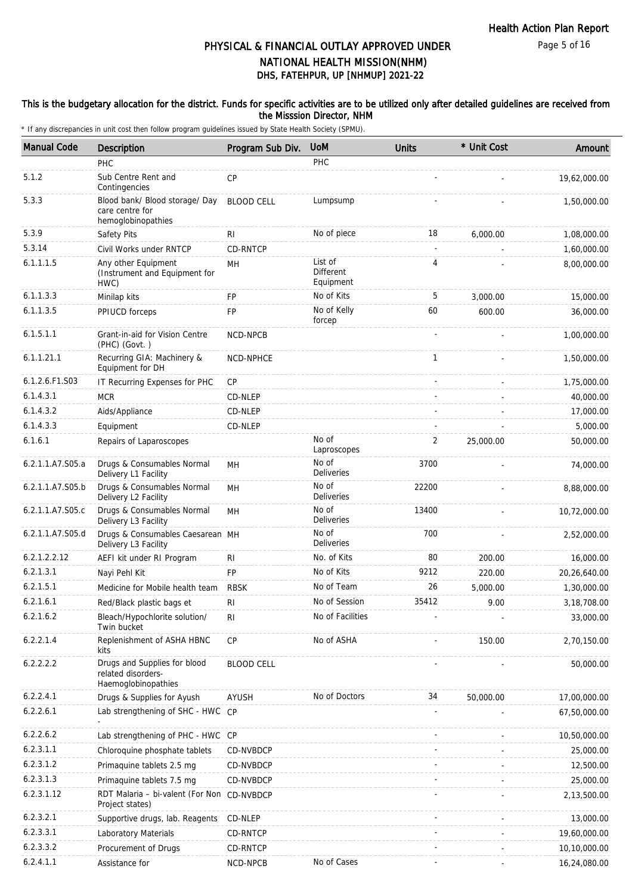Page 5 of 16

## DHS, FATEHPUR, UP [NHMUP] 2021-22 PHYSICAL & FINANCIAL OUTLAY APPROVED UNDER NATIONAL HEALTH MISSION(NHM)

### This is the budgetary allocation for the district. Funds for specific activities are to be utilized only after detailed guidelines are received from the Misssion Director, NHM

| <b>Manual Code</b> | <b>Description</b>                                                        | Program Sub Div.  | <b>UoM</b>                        | <b>Units</b>             | * Unit Cost | Amount        |
|--------------------|---------------------------------------------------------------------------|-------------------|-----------------------------------|--------------------------|-------------|---------------|
|                    | PHC                                                                       |                   | PHC                               |                          |             |               |
| 5.1.2              | Sub Centre Rent and<br>Contingencies                                      | CP                |                                   |                          |             | 19,62,000.00  |
| 5.3.3              | Blood bank/ Blood storage/ Day<br>care centre for<br>hemoglobinopathies   | <b>BLOOD CELL</b> | Lumpsump                          |                          |             | 1,50,000.00   |
| 5.3.9              | Safety Pits                                                               | RI                | No of piece                       | 18                       | 6,000.00    | 1,08,000.00   |
| 5.3.14             | Civil Works under RNTCP                                                   | CD-RNTCP          |                                   | $\overline{\phantom{a}}$ |             | 1,60,000.00   |
| 6.1.1.1.5          | Any other Equipment<br>(Instrument and Equipment for<br>HWC)              | MH                | List of<br>Different<br>Equipment | 4                        |             | 8,00,000.00   |
| 6.1.1.3.3          | Minilap kits                                                              | <b>FP</b>         | No of Kits                        | 5                        | 3,000.00    | 15,000.00     |
| 6.1.1.3.5          | PPIUCD forceps                                                            | FP                | No of Kelly<br>forcep             | 60                       | 600.00      | 36,000.00     |
| 6.1.5.1.1          | Grant-in-aid for Vision Centre<br>(PHC) (Govt.)                           | NCD-NPCB          |                                   |                          |             | 1,00,000.00   |
| 6.1.1.21.1         | Recurring GIA: Machinery &<br>Equipment for DH                            | NCD-NPHCE         |                                   | 1                        |             | 1,50,000.00   |
| 6.1.2.6.F1.S03     | IT Recurring Expenses for PHC                                             | CP                |                                   |                          |             | 1,75,000.00   |
| 6.1.4.3.1          | <b>MCR</b>                                                                | CD-NLEP           |                                   |                          |             | 40,000.00     |
| 6.1.4.3.2          | Aids/Appliance                                                            | CD-NLEP           |                                   |                          |             | 17,000.00     |
| 6.1.4.3.3          | Equipment                                                                 | CD-NLEP           |                                   |                          |             | 5,000.00      |
| 6.1.6.1            | Repairs of Laparoscopes                                                   |                   | No of<br>Laproscopes              | 2                        | 25,000.00   | 50,000.00     |
| 6.2.1.1.A7.S05.a   | Drugs & Consumables Normal<br>Delivery L1 Facility                        | MН                | No of<br>Deliveries               | 3700                     |             | 74,000.00     |
| 6.2.1.1.A7.S05.b   | Drugs & Consumables Normal<br>Delivery L2 Facility                        | MH                | No of<br><b>Deliveries</b>        | 22200                    |             | 8,88,000.00   |
| 6.2.1.1.A7.S05.c   | Drugs & Consumables Normal<br>Delivery L3 Facility                        | MH                | No of<br><b>Deliveries</b>        | 13400                    |             | 10,72,000.00  |
| 6.2.1.1.A7.S05.d   | Drugs & Consumables Caesarean MH<br>Delivery L3 Facility                  |                   | No of<br><b>Deliveries</b>        | 700                      |             | 2,52,000.00   |
| 6.2.1.2.2.12       | AEFI kit under RI Program                                                 | R <sub>1</sub>    | No. of Kits                       | 80                       | 200.00      | 16,000.00     |
| 6.2.1.3.1          | Nayi Pehl Kit                                                             | <b>FP</b>         | No of Kits                        | 9212                     | 220.00      | 20,26,640.00  |
| 6.2.1.5.1          | Medicine for Mobile health team                                           | <b>RBSK</b>       | No of Team                        | 26                       | 5,000.00    | 1,30,000.00   |
| 6.2.1.6.1          | Red/Black plastic bags et                                                 | R <sub>l</sub>    | No of Session                     | 35412                    | 9.00        | 3, 18, 708.00 |
| 6.2.1.6.2          | Bleach/Hypochlorite solution/<br>Twin bucket                              | R <sub>l</sub>    | No of Facilities                  |                          |             | 33,000.00     |
| 6.2.2.1.4          | Replenishment of ASHA HBNC<br>kits                                        | CP                | No of ASHA                        |                          | 150.00      | 2,70,150.00   |
| 6.2.2.2.2          | Drugs and Supplies for blood<br>related disorders-<br>Haemoglobinopathies | <b>BLOOD CELL</b> |                                   |                          |             | 50,000.00     |
| 6.2.2.4.1          | Drugs & Supplies for Ayush                                                | AYUSH             | No of Doctors                     | 34                       | 50,000.00   | 17,00,000.00  |
| 6.2.2.6.1          | Lab strengthening of SHC - HWC CP                                         |                   |                                   |                          |             | 67,50,000.00  |
| 6.2.2.6.2          | Lab strengthening of PHC - HWC CP                                         |                   |                                   |                          |             | 10,50,000.00  |
| 6.2.3.1.1          | Chloroquine phosphate tablets                                             | CD-NVBDCP         |                                   |                          |             | 25,000.00     |
| 6.2.3.1.2          | Primaquine tablets 2.5 mg                                                 | CD-NVBDCP         |                                   |                          |             | 12,500.00     |
| 6.2.3.1.3          | Primaquine tablets 7.5 mg                                                 | CD-NVBDCP         |                                   |                          |             | 25,000.00     |
| 6.2.3.1.12         | RDT Malaria - bi-valent (For Non CD-NVBDCP<br>Project states)             |                   |                                   |                          |             | 2,13,500.00   |
| 6.2.3.2.1          | Supportive drugs, lab. Reagents                                           | CD-NLEP           |                                   |                          |             | 13,000.00     |
| 6.2.3.3.1          | Laboratory Materials                                                      | CD-RNTCP          |                                   |                          |             | 19,60,000.00  |
| 6.2.3.3.2          | Procurement of Drugs                                                      | CD-RNTCP          |                                   |                          |             | 10,10,000.00  |
| 6.2.4.1.1          | Assistance for                                                            | NCD-NPCB          | No of Cases                       |                          |             | 16,24,080.00  |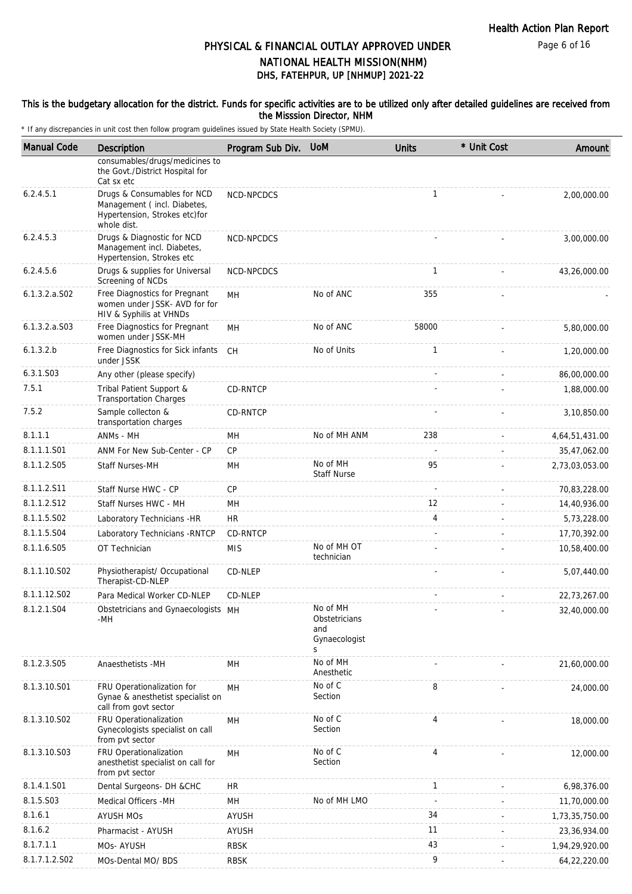Page 6 of 16

# DHS, FATEHPUR, UP [NHMUP] 2021-22 PHYSICAL & FINANCIAL OUTLAY APPROVED UNDER NATIONAL HEALTH MISSION(NHM)

#### This is the budgetary allocation for the district. Funds for specific activities are to be utilized only after detailed guidelines are received from the Misssion Director, NHM

| <b>Manual Code</b> | Description                                                                                                | Program Sub Div. | <b>UoM</b>                                             | <b>Units</b>   | * Unit Cost | Amount         |
|--------------------|------------------------------------------------------------------------------------------------------------|------------------|--------------------------------------------------------|----------------|-------------|----------------|
|                    | consumables/drugs/medicines to<br>the Govt./District Hospital for<br>Cat sx etc                            |                  |                                                        |                |             |                |
| 6.2.4.5.1          | Drugs & Consumables for NCD<br>Management (incl. Diabetes,<br>Hypertension, Strokes etc)for<br>whole dist. | NCD-NPCDCS       |                                                        | $\mathbf{1}$   |             | 2,00,000.00    |
| 6.2.4.5.3          | Drugs & Diagnostic for NCD<br>Management incl. Diabetes,<br>Hypertension, Strokes etc                      | NCD-NPCDCS       |                                                        |                |             | 3,00,000.00    |
| 6.2.4.5.6          | Drugs & supplies for Universal<br>Screening of NCDs                                                        | NCD-NPCDCS       |                                                        | $\mathbf{1}$   |             | 43,26,000.00   |
| $6.1.3.2.a.$ SO2   | Free Diagnostics for Pregnant<br>women under JSSK- AVD for for<br>HIV & Syphilis at VHNDs                  | MН               | No of ANC                                              | 355            |             |                |
| $6.1.3.2.a.$ SO3   | Free Diagnostics for Pregnant<br>women under JSSK-MH                                                       | MН               | No of ANC                                              | 58000          |             | 5,80,000.00    |
| 6.1.3.2.b          | Free Diagnostics for Sick infants<br>under JSSK                                                            | CH.              | No of Units                                            | $\mathbf{1}$   |             | 1,20,000.00    |
| 6.3.1.S03          | Any other (please specify)                                                                                 |                  |                                                        |                |             | 86,00,000.00   |
| 7.5.1              | Tribal Patient Support &<br><b>Transportation Charges</b>                                                  | CD-RNTCP         |                                                        |                |             | 1,88,000.00    |
| 7.5.2              | Sample collecton &<br>transportation charges                                                               | <b>CD-RNTCP</b>  |                                                        |                |             | 3,10,850.00    |
| 8.1.1.1            | ANMs - MH                                                                                                  | MH               | No of MH ANM                                           | 238            |             | 4,64,51,431.00 |
| 8.1.1.1.S01        | ANM For New Sub-Center - CP                                                                                | CP               |                                                        |                |             | 35,47,062.00   |
| 8.1.1.2.S05        | <b>Staff Nurses-MH</b>                                                                                     | MН               | No of MH<br><b>Staff Nurse</b>                         | 95             |             | 2,73,03,053.00 |
| 8.1.1.2.S11        | Staff Nurse HWC - CP                                                                                       | <b>CP</b>        |                                                        | ÷.             |             | 70,83,228.00   |
| 8.1.1.2.S12        | Staff Nurses HWC - MH                                                                                      | MН               |                                                        | 12             |             | 14,40,936.00   |
| 8.1.1.5.S02        | Laboratory Technicians -HR                                                                                 | <b>HR</b>        |                                                        | 4              |             | 5,73,228.00    |
| 8.1.1.5.S04        | Laboratory Technicians - RNTCP                                                                             | CD-RNTCP         |                                                        |                |             | 17,70,392.00   |
| 8.1.1.6.S05        | OT Technician                                                                                              | <b>MIS</b>       | No of MH OT<br>technician                              |                |             | 10,58,400.00   |
| 8.1.1.10.S02       | Physiotherapist/ Occupational<br>Therapist-CD-NLEP                                                         | CD-NLEP          |                                                        |                |             | 5,07,440.00    |
| 8.1.1.12.S02       | Para Medical Worker CD-NLEP                                                                                | CD-NLEP          |                                                        |                |             | 22,73,267.00   |
| 8.1.2.1.S04        | Obstetricians and Gynaecologists MH<br>-MH                                                                 |                  | No of MH<br>Obstetricians<br>and<br>Gynaecologist<br>S |                |             | 32,40,000.00   |
| 8.1.2.3.S05        | Anaesthetists -MH                                                                                          | MН               | No of MH<br>Anesthetic                                 |                |             | 21,60,000.00   |
| 8.1.3.10.S01       | FRU Operationalization for<br>Gynae & anesthetist specialist on<br>call from govt sector                   | MH               | No of C<br>Section                                     | 8              |             | 24,000.00      |
| 8.1.3.10.S02       | FRU Operationalization<br>Gynecologists specialist on call<br>from pvt sector                              | MH               | No of C<br>Section                                     | $\overline{4}$ |             | 18,000.00      |
| 8.1.3.10.S03       | FRU Operationalization<br>anesthetist specialist on call for<br>from pvt sector                            | MН               | No of C<br>Section                                     | 4              |             | 12,000.00      |
| 8.1.4.1.S01        | Dental Surgeons- DH &CHC                                                                                   | <b>HR</b>        |                                                        | 1              |             | 6,98,376.00    |
| 8.1.5.S03          | Medical Officers - MH                                                                                      | MH               | No of MH LMO                                           | $\sim$         |             | 11,70,000.00   |
| 8.1.6.1            | <b>AYUSH MOS</b>                                                                                           | <b>AYUSH</b>     |                                                        | 34             |             | 1,73,35,750.00 |
| 8.1.6.2            | Pharmacist - AYUSH                                                                                         | AYUSH            |                                                        | 11             |             | 23,36,934.00   |
| 8.1.7.1.1          | MOs-AYUSH                                                                                                  | <b>RBSK</b>      |                                                        | 43             |             | 1,94,29,920.00 |
| 8.1.7.1.2.S02      | MOs-Dental MO/ BDS                                                                                         | <b>RBSK</b>      |                                                        | 9              |             | 64,22,220.00   |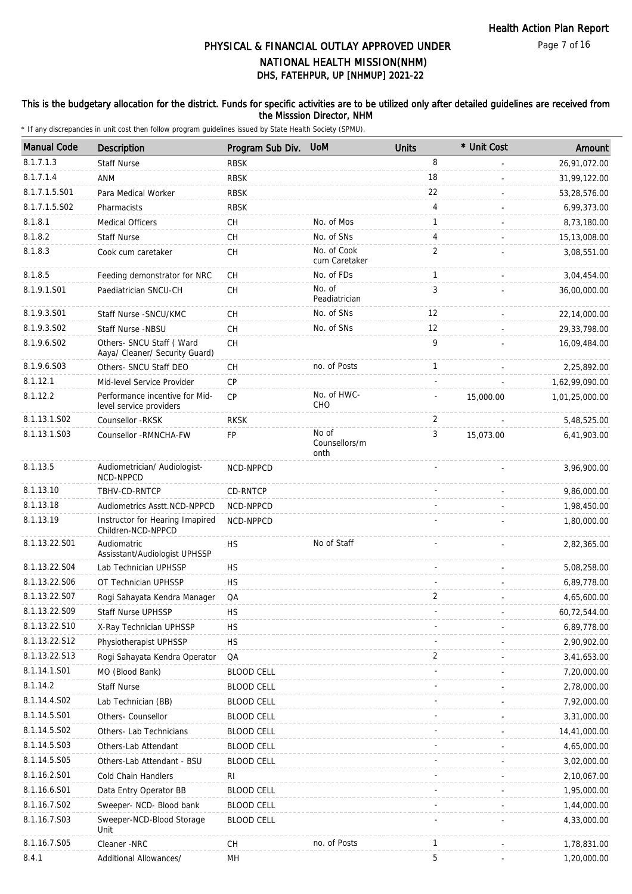### This is the budgetary allocation for the district. Funds for specific activities are to be utilized only after detailed guidelines are received from the Misssion Director, NHM

| <b>Manual Code</b> | Description                                                 | Program Sub Div.  | <b>UoM</b>                     | <b>Units</b>   | * Unit Cost | Amount         |
|--------------------|-------------------------------------------------------------|-------------------|--------------------------------|----------------|-------------|----------------|
| 8.1.7.1.3          | <b>Staff Nurse</b>                                          | <b>RBSK</b>       |                                | 8              |             | 26,91,072.00   |
| 8.1.7.1.4          | ANM                                                         | <b>RBSK</b>       |                                | 18             |             | 31,99,122.00   |
| 8.1.7.1.5.S01      | Para Medical Worker                                         | <b>RBSK</b>       |                                | 22             |             | 53,28,576.00   |
| 8.1.7.1.5.S02      | Pharmacists                                                 | <b>RBSK</b>       |                                | $\overline{4}$ |             | 6,99,373.00    |
| 8.1.8.1            | <b>Medical Officers</b>                                     | СH                | No. of Mos                     | 1              |             | 8,73,180.00    |
| 8.1.8.2            | <b>Staff Nurse</b>                                          | CH                | No. of SNs                     | 4              |             | 15,13,008.00   |
| 8.1.8.3            | Cook cum caretaker                                          | CH                | No. of Cook<br>cum Caretaker   | $\overline{2}$ |             | 3,08,551.00    |
| 8.1.8.5            | Feeding demonstrator for NRC                                | <b>CH</b>         | No. of FDs                     | $\mathbf{1}$   |             | 3,04,454.00    |
| 8.1.9.1.S01        | Paediatrician SNCU-CH                                       | <b>CH</b>         | No. of<br>Peadiatrician        | 3              |             | 36,00,000.00   |
| 8.1.9.3.S01        | Staff Nurse - SNCU/KMC                                      | <b>CH</b>         | No. of SNs                     | 12             |             | 22,14,000.00   |
| 8.1.9.3.SO2        | Staff Nurse -NBSU                                           | <b>CH</b>         | No. of SNs                     | 12             |             | 29, 33, 798.00 |
| 8.1.9.6.SO2        | Others- SNCU Staff ( Ward<br>Aaya/ Cleaner/ Security Guard) | <b>CH</b>         |                                | 9              |             | 16,09,484.00   |
| 8.1.9.6.S03        | Others- SNCU Staff DEO                                      | CH                | no. of Posts                   | $\mathbf{1}$   |             | 2,25,892.00    |
| 8.1.12.1           | Mid-level Service Provider                                  | <b>CP</b>         |                                |                |             | 1,62,99,090.00 |
| 8.1.12.2           | Performance incentive for Mid-<br>level service providers   | <b>CP</b>         | No. of HWC-<br>CHO             |                | 15,000.00   | 1,01,25,000.00 |
| 8.1.13.1.S02       | Counsellor -RKSK                                            | <b>RKSK</b>       |                                | 2              |             | 5,48,525.00    |
| 8.1.13.1.S03       | Counsellor - RMNCHA-FW                                      | <b>FP</b>         | No of<br>Counsellors/m<br>onth | 3              | 15,073.00   | 6,41,903.00    |
| 8.1.13.5           | Audiometrician/ Audiologist-<br>NCD-NPPCD                   | NCD-NPPCD         |                                |                |             | 3,96,900.00    |
| 8.1.13.10          | TBHV-CD-RNTCP                                               | CD-RNTCP          |                                |                |             | 9,86,000.00    |
| 8.1.13.18          | Audiometrics Asstt.NCD-NPPCD                                | NCD-NPPCD         |                                |                |             | 1,98,450.00    |
| 8.1.13.19          | Instructor for Hearing Imapired<br>Children-NCD-NPPCD       | NCD-NPPCD         |                                |                |             | 1,80,000.00    |
| 8.1.13.22.S01      | Audiomatric<br>Assisstant/Audiologist UPHSSP                | <b>HS</b>         | No of Staff                    |                |             | 2,82,365.00    |
| 8.1.13.22.S04      | Lab Technician UPHSSP                                       | <b>HS</b>         |                                |                |             | 5,08,258.00    |
| 8.1.13.22.S06      | OT Technician UPHSSP                                        | <b>HS</b>         |                                |                |             | 6,89,778.00    |
| 8.1.13.22.S07      | Rogi Sahayata Kendra Manager                                | QA                |                                | 2              |             | 4,65,600.00    |
| 8.1.13.22.S09      | Staff Nurse UPHSSP                                          | <b>HS</b>         |                                |                |             | 60,72,544.00   |
| 8.1.13.22.S10      | X-Ray Technician UPHSSP                                     | HS                |                                |                |             | 6,89,778.00    |
| 8.1.13.22.S12      | Physiotherapist UPHSSP                                      | <b>HS</b>         |                                |                |             | 2,90,902.00    |
| 8.1.13.22.S13      | Rogi Sahayata Kendra Operator                               | QA                |                                | 2              |             | 3,41,653.00    |
| 8.1.14.1.S01       | MO (Blood Bank)                                             | <b>BLOOD CELL</b> |                                |                |             | 7,20,000.00    |
| 8.1.14.2           | <b>Staff Nurse</b>                                          | <b>BLOOD CELL</b> |                                |                |             | 2,78,000.00    |
| 8.1.14.4.S02       | Lab Technician (BB)                                         | <b>BLOOD CELL</b> |                                |                |             | 7,92,000.00    |
| 8.1.14.5.S01       | Others- Counsellor                                          | <b>BLOOD CELL</b> |                                |                |             | 3,31,000.00    |
| 8.1.14.5.S02       | Others- Lab Technicians                                     | <b>BLOOD CELL</b> |                                |                |             | 14,41,000.00   |
| 8.1.14.5.S03       | Others-Lab Attendant                                        | <b>BLOOD CELL</b> |                                |                |             | 4,65,000.00    |
| 8.1.14.5.S05       | Others-Lab Attendant - BSU                                  | <b>BLOOD CELL</b> |                                |                |             | 3,02,000.00    |
| 8.1.16.2.S01       | Cold Chain Handlers                                         | RI                |                                |                |             | 2,10,067.00    |
| 8.1.16.6.S01       | Data Entry Operator BB                                      | <b>BLOOD CELL</b> |                                |                |             | 1,95,000.00    |
| 8.1.16.7.S02       | Sweeper- NCD- Blood bank                                    | <b>BLOOD CELL</b> |                                |                |             | 1,44,000.00    |
| 8.1.16.7.S03       | Sweeper-NCD-Blood Storage<br>Unit                           | <b>BLOOD CELL</b> |                                |                |             | 4,33,000.00    |
| 8.1.16.7.S05       | Cleaner -NRC                                                | СH                | no. of Posts                   | 1              |             | 1,78,831.00    |
| 8.4.1              | Additional Allowances/                                      | MH                |                                | 5              |             | 1,20,000.00    |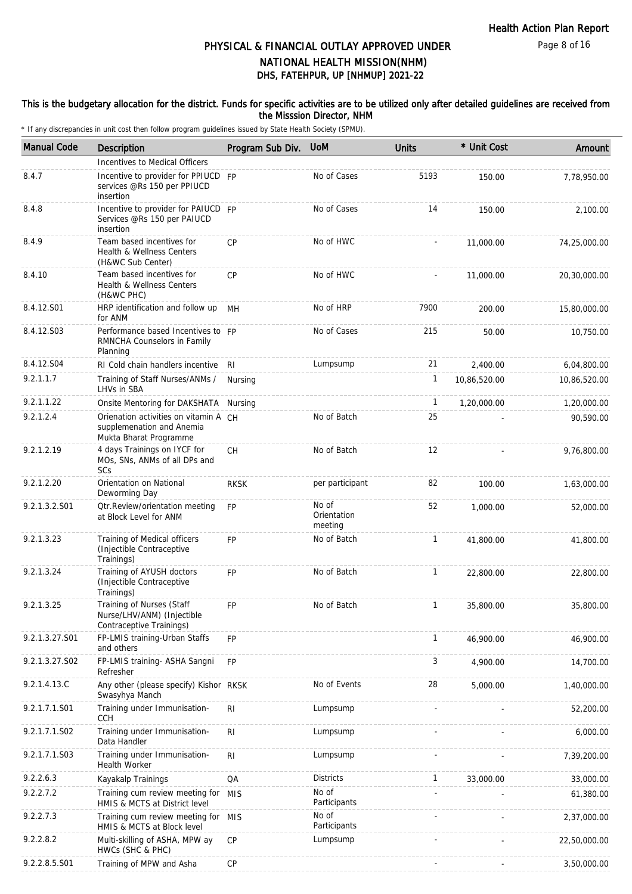#### This is the budgetary allocation for the district. Funds for specific activities are to be utilized only after detailed guidelines are received from the Misssion Director, NHM

| <b>Manual Code</b> | Description                                                                                  | Program Sub Div. | <b>UoM</b>                      | <b>Units</b>      | * Unit Cost  | Amount       |
|--------------------|----------------------------------------------------------------------------------------------|------------------|---------------------------------|-------------------|--------------|--------------|
|                    | Incentives to Medical Officers                                                               |                  |                                 |                   |              |              |
| 8.4.7              | Incentive to provider for PPIUCD FP<br>services @Rs 150 per PPIUCD<br>insertion              |                  | No of Cases                     | 5193              | 150.00       | 7,78,950.00  |
| 8.4.8              | Incentive to provider for PAIUCD FP<br>Services @Rs 150 per PAIUCD<br>insertion              |                  | No of Cases                     | 14                | 150.00       | 2,100.00     |
| 8.4.9              | Team based incentives for<br>Health & Wellness Centers<br>(H&WC Sub Center)                  | <b>CP</b>        | No of HWC                       |                   | 11,000.00    | 74,25,000.00 |
| 8.4.10             | Team based incentives for<br>Health & Wellness Centers<br>(H&WC PHC)                         | <b>CP</b>        | No of HWC                       |                   | 11,000.00    | 20,30,000.00 |
| 8.4.12.S01         | HRP identification and follow up<br>for ANM                                                  | MН               | No of HRP                       | 7900              | 200.00       | 15,80,000.00 |
| 8.4.12.S03         | Performance based Incentives to FP<br>RMNCHA Counselors in Family<br>Planning                |                  | No of Cases                     | 215               | 50.00        | 10,750.00    |
| 8.4.12.S04         | RI Cold chain handlers incentive                                                             | RI               | Lumpsump                        | 21                | 2,400.00     | 6,04,800.00  |
| 9.2.1.1.7          | Training of Staff Nurses/ANMs /<br>LHVs in SBA                                               | Nursing          |                                 | 1                 | 10,86,520.00 | 10,86,520.00 |
| 9.2.1.1.22         | Onsite Mentoring for DAKSHATA                                                                | Nursing          |                                 | $\mathbf{1}$      | 1,20,000.00  | 1,20,000.00  |
| 9.2.1.2.4          | Orienation activities on vitamin A CH<br>supplemenation and Anemia<br>Mukta Bharat Programme |                  | No of Batch                     | 25                |              | 90,590.00    |
| 9.2.1.2.19         | 4 days Trainings on IYCF for<br>MOs, SNs, ANMs of all DPs and<br>SCs                         | <b>CH</b>        | No of Batch                     | $12 \overline{ }$ |              | 9,76,800.00  |
| 9.2.1.2.20         | Orientation on National<br>Deworming Day                                                     | <b>RKSK</b>      | per participant                 | 82                | 100.00       | 1,63,000.00  |
| 9.2.1.3.2.S01      | <b>Qtr.Review/orientation meeting</b><br>at Block Level for ANM                              | <b>FP</b>        | No of<br>Orientation<br>meeting | 52                | 1,000.00     | 52,000.00    |
| 9.2.1.3.23         | Training of Medical officers<br>(Injectible Contraceptive<br>Trainings)                      | <b>FP</b>        | No of Batch                     | $\mathbf{1}$      | 41,800.00    | 41,800.00    |
| 9.2.1.3.24         | Training of AYUSH doctors<br>(Injectible Contraceptive<br>Trainings)                         | FP               | No of Batch                     | 1                 | 22,800.00    | 22,800.00    |
| 9.2.1.3.25         | Training of Nurses (Staff<br>Nurse/LHV/ANM) (Injectible<br>Contraceptive Trainings)          | FP               | No of Batch                     | 1                 | 35,800.00    | 35,800.00    |
| 9.2.1.3.27.S01     | FP-LMIS training-Urban Staffs<br>and others                                                  | FP               |                                 | $\mathbf{1}$      | 46,900.00    | 46,900.00    |
| 9.2.1.3.27.S02     | FP-LMIS training- ASHA Sangni<br>Refresher                                                   | <b>FP</b>        |                                 | 3                 | 4,900.00     | 14,700.00    |
| 9.2.1.4.13.C       | Any other (please specify) Kishor RKSK<br>Swasyhya Manch                                     |                  | No of Events                    | 28                | 5,000.00     | 1,40,000.00  |
| 9.2.1.7.1.S01      | Training under Immunisation-<br><b>CCH</b>                                                   | R <sub>l</sub>   | Lumpsump                        |                   |              | 52,200.00    |
| 9.2.1.7.1.S02      | Training under Immunisation-<br>Data Handler                                                 | R <sub>l</sub>   | Lumpsump                        |                   |              | 6,000.00     |
| 9.2.1.7.1.S03      | Training under Immunisation-<br>Health Worker                                                | R <sub>l</sub>   | Lumpsump                        |                   |              | 7,39,200.00  |
| 9.2.2.6.3          | Kayakalp Trainings                                                                           | QA               | <b>Districts</b>                | $\mathbf{1}$      | 33,000.00    | 33,000.00    |
| 9.2.2.7.2          | Training cum review meeting for<br>HMIS & MCTS at District level                             | <b>MIS</b>       | No of<br>Participants           |                   |              | 61,380.00    |
| 9.2.2.7.3          | Training cum review meeting for MIS<br>HMIS & MCTS at Block level                            |                  | No of<br>Participants           |                   |              | 2,37,000.00  |
| 9.2.2.8.2          | Multi-skilling of ASHA, MPW ay<br>HWCs (SHC & PHC)                                           | СP               | Lumpsump                        |                   |              | 22,50,000.00 |
| 9.2.2.8.5.S01      | Training of MPW and Asha                                                                     | <b>CP</b>        |                                 |                   |              | 3,50,000.00  |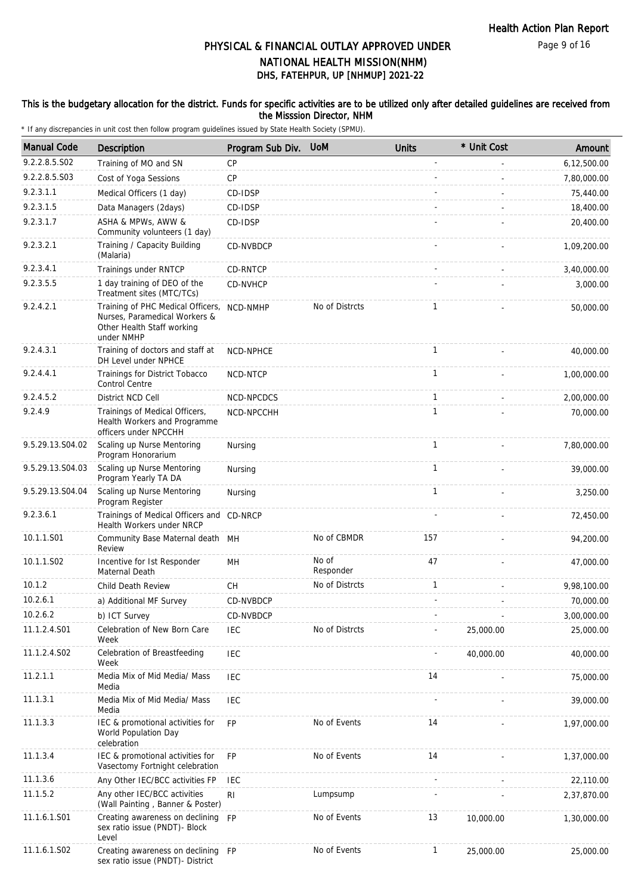#### This is the budgetary allocation for the district. Funds for specific activities are to be utilized only after detailed guidelines are received from the Misssion Director, NHM

| <b>Manual Code</b> | Description                                                                                                    | Program Sub Div. | <b>UoM</b>         | <b>Units</b> | * Unit Cost | Amount      |
|--------------------|----------------------------------------------------------------------------------------------------------------|------------------|--------------------|--------------|-------------|-------------|
| 9.2.2.8.5.S02      | Training of MO and SN                                                                                          | <b>CP</b>        |                    |              |             | 6,12,500.00 |
| 9.2.2.8.5.S03      | Cost of Yoga Sessions                                                                                          | <b>CP</b>        |                    |              |             | 7,80,000.00 |
| 9.2.3.1.1          | Medical Officers (1 day)                                                                                       | CD-IDSP          |                    |              |             | 75,440.00   |
| 9.2.3.1.5          | Data Managers (2days)                                                                                          | CD-IDSP          |                    |              |             | 18,400.00   |
| 9.2.3.1.7          | ASHA & MPWs, AWW &<br>Community volunteers (1 day)                                                             | CD-IDSP          |                    |              |             | 20,400.00   |
| 9.2.3.2.1          | Training / Capacity Building<br>(Malaria)                                                                      | CD-NVBDCP        |                    |              |             | 1,09,200.00 |
| 9.2.3.4.1          | Trainings under RNTCP                                                                                          | CD-RNTCP         |                    |              |             | 3,40,000.00 |
| 9.2.3.5.5          | 1 day training of DEO of the<br>Treatment sites (MTC/TCs)                                                      | CD-NVHCP         |                    |              |             | 3,000.00    |
| 9.2.4.2.1          | Training of PHC Medical Officers,<br>Nurses, Paramedical Workers &<br>Other Health Staff working<br>under NMHP | NCD-NMHP         | No of Distrcts     | $\mathbf{1}$ |             | 50,000.00   |
| 9.2.4.3.1          | Training of doctors and staff at<br>DH Level under NPHCE                                                       | NCD-NPHCE        |                    | $\mathbf{1}$ |             | 40,000.00   |
| 9.2.4.4.1          | Trainings for District Tobacco<br><b>Control Centre</b>                                                        | NCD-NTCP         |                    | $\mathbf{1}$ |             | 1,00,000.00 |
| 9.2.4.5.2          | District NCD Cell                                                                                              | NCD-NPCDCS       |                    | $\mathbf{1}$ |             | 2,00,000.00 |
| 9.2.4.9            | Trainings of Medical Officers,<br>Health Workers and Programme<br>officers under NPCCHH                        | NCD-NPCCHH       |                    | $\mathbf{1}$ |             | 70,000.00   |
| 9.5.29.13.S04.02   | Scaling up Nurse Mentoring<br>Program Honorarium                                                               | Nursing          |                    | $\mathbf{1}$ |             | 7,80,000.00 |
| 9.5.29.13.S04.03   | Scaling up Nurse Mentoring<br>Program Yearly TA DA                                                             | Nursing          |                    | $\mathbf{1}$ |             | 39,000.00   |
| 9.5.29.13.S04.04   | Scaling up Nurse Mentoring<br>Program Register                                                                 | Nursing          |                    | $\mathbf{1}$ |             | 3,250.00    |
| 9.2.3.6.1          | Trainings of Medical Officers and CD-NRCP<br>Health Workers under NRCP                                         |                  |                    |              |             | 72,450.00   |
| 10.1.1.S01         | Community Base Maternal death MH<br>Review                                                                     |                  | No of CBMDR        | 157          |             | 94,200.00   |
| 10.1.1.S02         | Incentive for Ist Responder<br>Maternal Death                                                                  | MH               | No of<br>Responder | 47           |             | 47,000.00   |
| 10.1.2             | Child Death Review                                                                                             | СH               | No of Distrcts     | 1            |             | 9,98,100.00 |
| 10.2.6.1           | a) Additional MF Survey                                                                                        | CD-NVBDCP        |                    |              |             | 70,000.00   |
| 10.2.6.2           | b) ICT Survey                                                                                                  | CD-NVBDCP        |                    |              |             | 3,00,000.00 |
| 11.1.2.4.S01       | Celebration of New Born Care<br>Week                                                                           | <b>IEC</b>       | No of Distrcts     |              | 25,000.00   | 25,000.00   |
| 11.1.2.4.S02       | Celebration of Breastfeeding<br>Week                                                                           | <b>IEC</b>       |                    |              | 40,000.00   | 40,000.00   |
| 11.2.1.1           | Media Mix of Mid Media/ Mass<br>Media                                                                          | <b>IEC</b>       |                    | 14           |             | 75,000.00   |
| 11.1.3.1           | Media Mix of Mid Media/ Mass<br>Media                                                                          | IEC              |                    |              |             | 39,000.00   |
| 11.1.3.3           | IEC & promotional activities for<br>World Population Day<br>celebration                                        | <b>FP</b>        | No of Events       | 14           |             | 1,97,000.00 |
| 11.1.3.4           | IEC & promotional activities for<br>Vasectomy Fortnight celebration                                            | FP               | No of Events       | 14           |             | 1,37,000.00 |
| 11.1.3.6           | Any Other IEC/BCC activities FP                                                                                | <b>IEC</b>       |                    |              |             | 22,110.00   |
| 11.1.5.2           | Any other IEC/BCC activities<br>(Wall Painting, Banner & Poster)                                               | R <sub>l</sub>   | Lumpsump           |              |             | 2,37,870.00 |
| 11.1.6.1.S01       | Creating awareness on declining<br>sex ratio issue (PNDT)- Block<br>Level                                      | <b>FP</b>        | No of Events       | 13           | 10,000.00   | 1,30,000.00 |
| 11.1.6.1.S02       | Creating awareness on declining FP<br>sex ratio issue (PNDT)- District                                         |                  | No of Events       | $\mathbf{1}$ | 25,000.00   | 25,000.00   |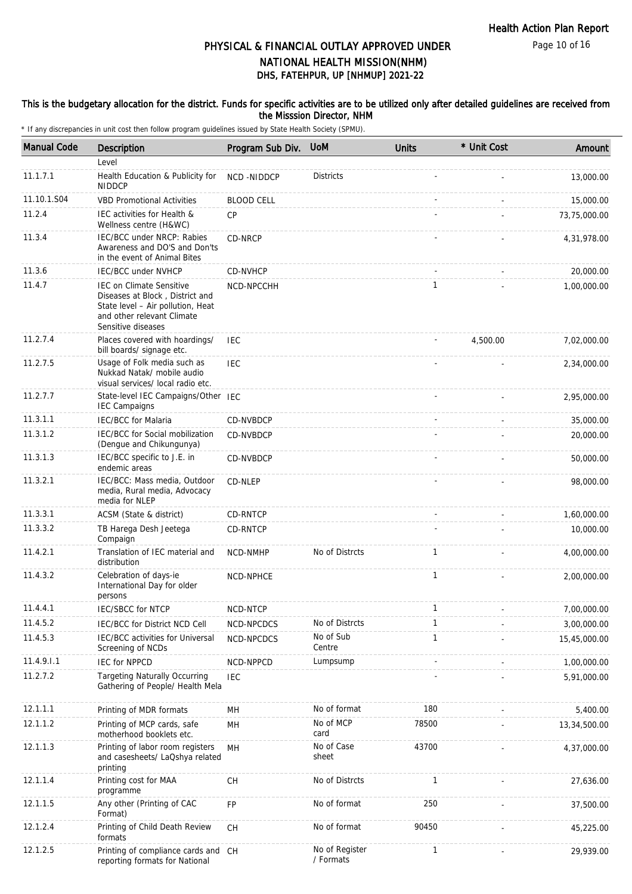Page 10 of 16

# DHS, FATEHPUR, UP [NHMUP] 2021-22 PHYSICAL & FINANCIAL OUTLAY APPROVED UNDER NATIONAL HEALTH MISSION(NHM)

#### This is the budgetary allocation for the district. Funds for specific activities are to be utilized only after detailed guidelines are received from the Misssion Director, NHM

| <b>Manual Code</b> | Description                                                                                                                                                 | Program Sub Div.  | <b>UoM</b>                  | <b>Units</b> | * Unit Cost | Amount       |
|--------------------|-------------------------------------------------------------------------------------------------------------------------------------------------------------|-------------------|-----------------------------|--------------|-------------|--------------|
|                    | Level                                                                                                                                                       |                   |                             |              |             |              |
| 11.1.7.1           | Health Education & Publicity for<br><b>NIDDCP</b>                                                                                                           | NCD-NIDDCP        | <b>Districts</b>            |              |             | 13,000.00    |
| 11.10.1.S04        | <b>VBD Promotional Activities</b>                                                                                                                           | <b>BLOOD CELL</b> |                             |              |             | 15,000.00    |
| 11.2.4             | IEC activities for Health &<br>Wellness centre (H&WC)                                                                                                       | CP                |                             |              |             | 73,75,000.00 |
| 11.3.4             | IEC/BCC under NRCP: Rabies<br>Awareness and DO'S and Don'ts<br>in the event of Animal Bites                                                                 | CD-NRCP           |                             |              |             | 4,31,978.00  |
| 11.3.6             | <b>IEC/BCC under NVHCP</b>                                                                                                                                  | CD-NVHCP          |                             |              |             | 20,000.00    |
| 11.4.7             | <b>IEC on Climate Sensitive</b><br>Diseases at Block, District and<br>State level - Air pollution, Heat<br>and other relevant Climate<br>Sensitive diseases | NCD-NPCCHH        |                             | 1            |             | 1,00,000.00  |
| 11.2.7.4           | Places covered with hoardings/<br>bill boards/ signage etc.                                                                                                 | <b>IEC</b>        |                             |              | 4,500.00    | 7,02,000.00  |
| 11.2.7.5           | Usage of Folk media such as<br>Nukkad Natak/ mobile audio<br>visual services/ local radio etc.                                                              | IEC               |                             |              |             | 2,34,000.00  |
| 11.2.7.7           | State-level IEC Campaigns/Other IEC<br><b>IEC Campaigns</b>                                                                                                 |                   |                             |              |             | 2,95,000.00  |
| 11.3.1.1           | <b>IEC/BCC</b> for Malaria                                                                                                                                  | CD-NVBDCP         |                             |              |             | 35,000.00    |
| 11.3.1.2           | IEC/BCC for Social mobilization<br>(Dengue and Chikungunya)                                                                                                 | CD-NVBDCP         |                             |              |             | 20,000.00    |
| 11.3.1.3           | IEC/BCC specific to J.E. in<br>endemic areas                                                                                                                | CD-NVBDCP         |                             |              |             | 50,000.00    |
| 11.3.2.1           | IEC/BCC: Mass media, Outdoor<br>media, Rural media, Advocacy<br>media for NLEP                                                                              | CD-NLEP           |                             |              |             | 98,000.00    |
| 11.3.3.1           | ACSM (State & district)                                                                                                                                     | CD-RNTCP          |                             |              |             | 1,60,000.00  |
| 11.3.3.2           | TB Harega Desh Jeetega<br>Compaign                                                                                                                          | CD-RNTCP          |                             |              |             | 10,000.00    |
| 11.4.2.1           | Translation of IEC material and<br>distribution                                                                                                             | NCD-NMHP          | No of Distrcts              | $\mathbf{1}$ |             | 4,00,000.00  |
| 11.4.3.2           | Celebration of days-ie<br>International Day for older<br>persons                                                                                            | NCD-NPHCE         |                             | $\mathbf{1}$ |             | 2,00,000.00  |
| 11.4.4.1           | IEC/SBCC for NTCP                                                                                                                                           | NCD-NTCP          |                             | 1            |             | 7,00,000.00  |
| 11.4.5.2           | <b>IEC/BCC for District NCD Cell</b>                                                                                                                        | NCD-NPCDCS        | No of Distrcts              | 1            |             | 3,00,000.00  |
| 11.4.5.3           | IEC/BCC activities for Universal<br>Screening of NCDs                                                                                                       | NCD-NPCDCS        | No of Sub<br>Centre         | $\mathbf{1}$ |             | 15,45,000.00 |
| 11.4.9.1.1         | <b>IEC for NPPCD</b>                                                                                                                                        | NCD-NPPCD         | Lumpsump                    |              |             | 1,00,000.00  |
| 11.2.7.2           | <b>Targeting Naturally Occurring</b><br>Gathering of People/ Health Mela                                                                                    | <b>IEC</b>        |                             |              |             | 5,91,000.00  |
| 12.1.1.1           | Printing of MDR formats                                                                                                                                     | MH                | No of format                | 180          |             | 5,400.00     |
| 12.1.1.2           | Printing of MCP cards, safe<br>motherhood booklets etc.                                                                                                     | MH                | No of MCP<br>card           | 78500        |             | 13,34,500.00 |
| 12.1.1.3           | Printing of labor room registers<br>and casesheets/ LaQshya related<br>printing                                                                             | MH                | No of Case<br>sheet         | 43700        |             | 4,37,000.00  |
| 12.1.1.4           | Printing cost for MAA<br>programme                                                                                                                          | <b>CH</b>         | No of Distrcts              | 1            |             | 27,636.00    |
| 12.1.1.5           | Any other (Printing of CAC<br>Format)                                                                                                                       | FP                | No of format                | 250          |             | 37,500.00    |
| 12.1.2.4           | Printing of Child Death Review<br>formats                                                                                                                   | <b>CH</b>         | No of format                | 90450        |             | 45,225.00    |
| 12.1.2.5           | Printing of compliance cards and CH<br>reporting formats for National                                                                                       |                   | No of Register<br>/ Formats | $\mathbf{1}$ |             | 29,939.00    |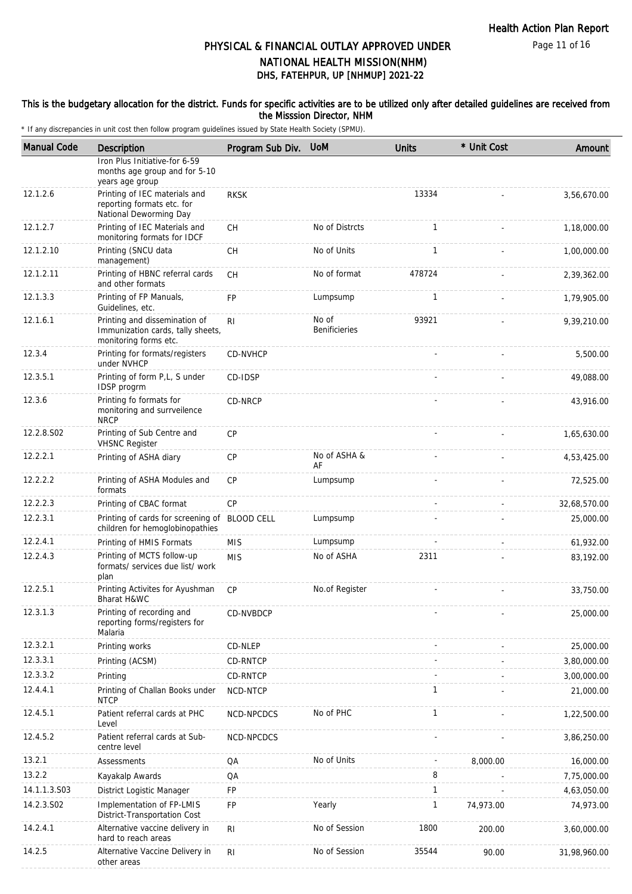Page 11 of 16

## DHS, FATEHPUR, UP [NHMUP] 2021-22 PHYSICAL & FINANCIAL OUTLAY APPROVED UNDER NATIONAL HEALTH MISSION(NHM)

#### This is the budgetary allocation for the district. Funds for specific activities are to be utilized only after detailed guidelines are received from the Misssion Director, NHM

| <b>Manual Code</b> | Description                                                                                 | Program Sub Div.  | <b>UoM</b>                    | <b>Units</b>   | * Unit Cost | Amount       |
|--------------------|---------------------------------------------------------------------------------------------|-------------------|-------------------------------|----------------|-------------|--------------|
|                    | Iron Plus Initiative-for 6-59<br>months age group and for 5-10<br>years age group           |                   |                               |                |             |              |
| 12.1.2.6           | Printing of IEC materials and<br>reporting formats etc. for<br>National Deworming Day       | <b>RKSK</b>       |                               | 13334          |             | 3,56,670.00  |
| 12.1.2.7           | Printing of IEC Materials and<br>monitoring formats for IDCF                                | <b>CH</b>         | No of Distrcts                | $\mathbf{1}$   |             | 1,18,000.00  |
| 12.1.2.10          | Printing (SNCU data<br>management)                                                          | <b>CH</b>         | No of Units                   | $\mathbf{1}$   |             | 1,00,000.00  |
| 12.1.2.11          | Printing of HBNC referral cards<br>and other formats                                        | <b>CH</b>         | No of format                  | 478724         |             | 2,39,362.00  |
| 12.1.3.3           | Printing of FP Manuals,<br>Guidelines, etc.                                                 | FP                | Lumpsump                      | 1              |             | 1,79,905.00  |
| 12.1.6.1           | Printing and dissemination of<br>Immunization cards, tally sheets,<br>monitoring forms etc. | R <sub>l</sub>    | No of<br><b>Benificieries</b> | 93921          |             | 9,39,210.00  |
| 12.3.4             | Printing for formats/registers<br>under NVHCP                                               | CD-NVHCP          |                               |                |             | 5,500.00     |
| 12.3.5.1           | Printing of form P,L, S under<br>IDSP progrm                                                | CD-IDSP           |                               |                |             | 49.088.00    |
| 12.3.6             | Printing fo formats for<br>monitoring and surrveilence<br><b>NRCP</b>                       | CD-NRCP           |                               |                |             | 43,916.00    |
| 12.2.8.S02         | Printing of Sub Centre and<br><b>VHSNC Register</b>                                         | <b>CP</b>         |                               |                |             | 1,65,630.00  |
| 12.2.2.1           | Printing of ASHA diary                                                                      | <b>CP</b>         | No of ASHA &<br>AF            |                |             | 4,53,425.00  |
| 12.2.2.2           | Printing of ASHA Modules and<br>formats                                                     | <b>CP</b>         | Lumpsump                      |                |             | 72,525.00    |
| 12.2.2.3           | Printing of CBAC format                                                                     | CP                |                               | $\omega$       |             | 32,68,570.00 |
| 12.2.3.1           | Printing of cards for screening of<br>children for hemoglobinopathies                       | <b>BLOOD CELL</b> | Lumpsump                      |                |             | 25,000.00    |
| 12.2.4.1           | Printing of HMIS Formats                                                                    | <b>MIS</b>        | Lumpsump                      | $\overline{a}$ |             | 61,932.00    |
| 12.2.4.3           | Printing of MCTS follow-up<br>formats/ services due list/ work<br>plan                      | <b>MIS</b>        | No of ASHA                    | 2311           |             | 83,192.00    |
| 12.2.5.1           | Printing Activites for Ayushman<br>Bharat H&WC                                              | CP                | No.of Register                |                |             | 33,750.00    |
| 12.3.1.3           | Printing of recording and<br>reporting forms/registers for<br>Malaria                       | CD-NVBDCP         |                               |                |             | 25,000.00    |
| 12.3.2.1           | Printing works                                                                              | CD-NLEP           |                               |                |             | 25,000.00    |
| 12.3.3.1           | Printing (ACSM)                                                                             | CD-RNTCP          |                               |                |             | 3,80,000.00  |
| 12.3.3.2           | Printing                                                                                    | CD-RNTCP          |                               |                |             | 3,00,000.00  |
| 12.4.4.1           | Printing of Challan Books under<br><b>NTCP</b>                                              | NCD-NTCP          |                               | $\mathbf{1}$   |             | 21,000.00    |
| 12.4.5.1           | Patient referral cards at PHC<br>Level                                                      | NCD-NPCDCS        | No of PHC                     | $\mathbf{1}$   |             | 1,22,500.00  |
| 12.4.5.2           | Patient referral cards at Sub-<br>centre level                                              | NCD-NPCDCS        |                               |                |             | 3,86,250.00  |
| 13.2.1             | Assessments                                                                                 | QA                | No of Units                   |                | 8,000.00    | 16,000.00    |
| 13.2.2             | Kayakalp Awards                                                                             | QA                |                               | 8              |             | 7,75,000.00  |
| 14.1.1.3.S03       | District Logistic Manager                                                                   | FP                |                               | $\mathbf{1}$   |             | 4,63,050.00  |
| 14.2.3.S02         | Implementation of FP-LMIS<br>District-Transportation Cost                                   | <b>FP</b>         | Yearly                        | $\mathbf{1}$   | 74,973.00   | 74,973.00    |
| 14.2.4.1           | Alternative vaccine delivery in<br>hard to reach areas                                      | R <sub>l</sub>    | No of Session                 | 1800           | 200.00      | 3,60,000.00  |
| 14.2.5             | Alternative Vaccine Delivery in<br>other areas                                              | R <sub>l</sub>    | No of Session                 | 35544          | 90.00       | 31,98,960.00 |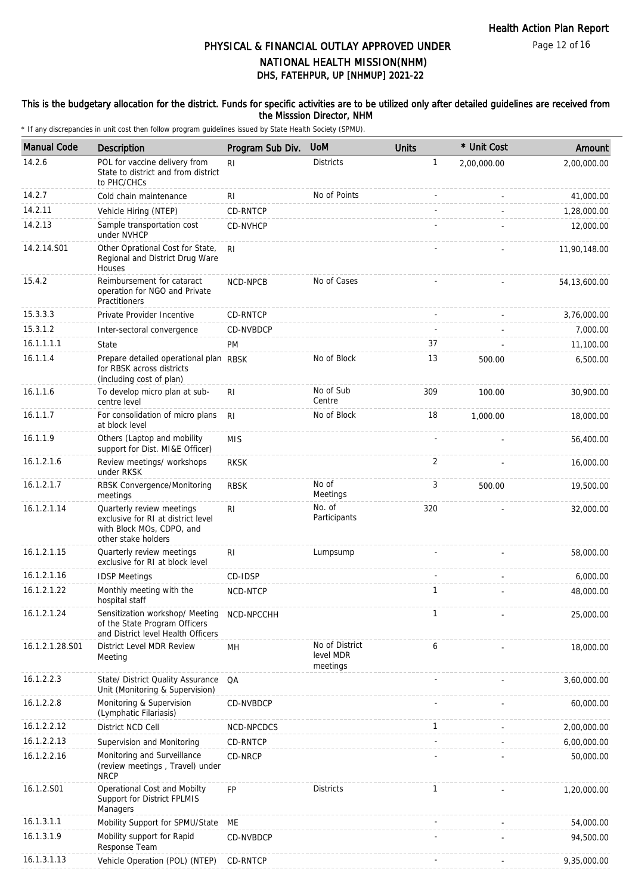Page 12 of 16

## DHS, FATEHPUR, UP [NHMUP] 2021-22 PHYSICAL & FINANCIAL OUTLAY APPROVED UNDER NATIONAL HEALTH MISSION(NHM)

### This is the budgetary allocation for the district. Funds for specific activities are to be utilized only after detailed guidelines are received from the Misssion Director, NHM

| <b>Manual Code</b> | Description                                                                                                         | Program Sub Div. | <b>UoM</b>                              | <b>Units</b> | * Unit Cost | Amount         |
|--------------------|---------------------------------------------------------------------------------------------------------------------|------------------|-----------------------------------------|--------------|-------------|----------------|
| 14.2.6             | POL for vaccine delivery from<br>State to district and from district<br>to PHC/CHCs                                 | R <sub>l</sub>   | <b>Districts</b>                        | 1            | 2,00,000.00 | 2,00,000.00    |
| 14.2.7             | Cold chain maintenance                                                                                              | RI               | No of Points                            |              |             | 41,000.00      |
| 14.2.11            | Vehicle Hiring (NTEP)                                                                                               | CD-RNTCP         |                                         |              |             | 1,28,000.00    |
| 14.2.13            | Sample transportation cost<br>under NVHCP                                                                           | CD-NVHCP         |                                         |              |             | 12,000.00      |
| 14.2.14.S01        | Other Oprational Cost for State,<br>Regional and District Drug Ware<br>Houses                                       | R <sub>l</sub>   |                                         |              |             | 11,90,148.00   |
| 15.4.2             | Reimbursement for cataract<br>operation for NGO and Private<br>Practitioners                                        | NCD-NPCB         | No of Cases                             |              |             | 54, 13, 600.00 |
| 15.3.3.3           | Private Provider Incentive                                                                                          | CD-RNTCP         |                                         |              |             | 3,76,000.00    |
| 15.3.1.2           | Inter-sectoral convergence                                                                                          | CD-NVBDCP        |                                         |              |             | 7,000.00       |
| 16.1.1.1.1         | State                                                                                                               | <b>PM</b>        |                                         | 37           |             | 11,100.00      |
| 16.1.1.4           | Prepare detailed operational plan RBSK<br>for RBSK across districts<br>(including cost of plan)                     |                  | No of Block                             | 13           | 500.00      | 6,500.00       |
| 16.1.1.6           | To develop micro plan at sub-<br>centre level                                                                       | R <sub>l</sub>   | No of Sub<br>Centre                     | 309          | 100.00      | 30,900.00      |
| 16.1.1.7           | For consolidation of micro plans<br>at block level                                                                  | R <sub>l</sub>   | No of Block                             | 18           | 1,000.00    | 18,000.00      |
| 16.1.1.9           | Others (Laptop and mobility<br>support for Dist. MI&E Officer)                                                      | <b>MIS</b>       |                                         |              |             | 56,400.00      |
| 16.1.2.1.6         | Review meetings/ workshops<br>under RKSK                                                                            | <b>RKSK</b>      |                                         | 2            |             | 16,000.00      |
| 16.1.2.1.7         | RBSK Convergence/Monitoring<br>meetings                                                                             | <b>RBSK</b>      | No of<br>Meetings                       | 3            | 500.00      | 19,500.00      |
| 16.1.2.1.14        | Quarterly review meetings<br>exclusive for RI at district level<br>with Block MOs, CDPO, and<br>other stake holders | RI.              | No. of<br>Participants                  | 320          |             | 32,000.00      |
| 16.1.2.1.15        | Quarterly review meetings<br>exclusive for RI at block level                                                        | R <sub>l</sub>   | Lumpsump                                |              |             | 58,000.00      |
| 16.1.2.1.16        | <b>IDSP Meetings</b>                                                                                                | CD-IDSP          |                                         |              |             | 6,000.00       |
| 16.1.2.1.22        | Monthly meeting with the<br>hospital staff                                                                          | NCD-NTCP         |                                         | $\mathbf{1}$ |             | 48,000.00      |
| 16.1.2.1.24        | Sensitization workshop/ Meeting<br>of the State Program Officers<br>and District level Health Officers              | NCD-NPCCHH       |                                         |              |             | 25,000.00      |
| 16.1.2.1.28.S01    | District Level MDR Review<br>Meeting                                                                                | MH               | No of District<br>level MDR<br>meetings | 6            |             | 18,000.00      |
| 16.1.2.2.3         | State/ District Quality Assurance<br>Unit (Monitoring & Supervision)                                                | QA               |                                         |              |             | 3,60,000.00    |
| 16.1.2.2.8         | Monitoring & Supervision<br>(Lymphatic Filariasis)                                                                  | CD-NVBDCP        |                                         |              |             | 60,000.00      |
| 16.1.2.2.12        | District NCD Cell                                                                                                   | NCD-NPCDCS       |                                         | $\mathbf{1}$ |             | 2,00,000.00    |
| 16.1.2.2.13        | Supervision and Monitoring                                                                                          | CD-RNTCP         |                                         |              |             | 6,00,000.00    |
| 16.1.2.2.16        | Monitoring and Surveillance<br>(review meetings, Travel) under<br><b>NRCP</b>                                       | CD-NRCP          |                                         |              |             | 50,000.00      |
| 16.1.2.S01         | Operational Cost and Mobilty<br>Support for District FPLMIS<br>Managers                                             | <b>FP</b>        | <b>Districts</b>                        | $\mathbf{1}$ |             | 1,20,000.00    |
| 16.1.3.1.1         | Mobility Support for SPMU/State                                                                                     | МE               |                                         |              |             | 54,000.00      |
| 16.1.3.1.9         | Mobility support for Rapid<br>Response Team                                                                         | CD-NVBDCP        |                                         |              |             | 94,500.00      |
| 16.1.3.1.13        | Vehicle Operation (POL) (NTEP)                                                                                      | CD-RNTCP         |                                         |              |             | 9,35,000.00    |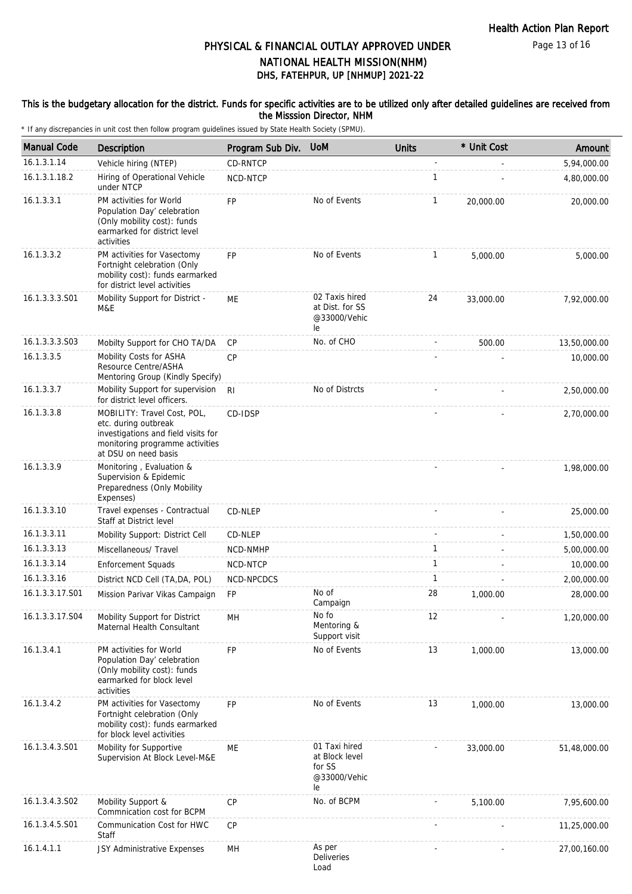Page 13 of 16

# DHS, FATEHPUR, UP [NHMUP] 2021-22 PHYSICAL & FINANCIAL OUTLAY APPROVED UNDER NATIONAL HEALTH MISSION(NHM)

#### This is the budgetary allocation for the district. Funds for specific activities are to be utilized only after detailed guidelines are received from the Misssion Director, NHM

| <b>Manual Code</b> | Description                                                                                                                                           | Program Sub Div. | <b>UoM</b>                                                      | <b>Units</b> | * Unit Cost | Amount       |
|--------------------|-------------------------------------------------------------------------------------------------------------------------------------------------------|------------------|-----------------------------------------------------------------|--------------|-------------|--------------|
| 16.1.3.1.14        | Vehicle hiring (NTEP)                                                                                                                                 | CD-RNTCP         |                                                                 |              |             | 5,94,000.00  |
| 16.1.3.1.18.2      | Hiring of Operational Vehicle<br>under NTCP                                                                                                           | NCD-NTCP         |                                                                 | $\mathbf{1}$ |             | 4,80,000.00  |
| 16.1.3.3.1         | PM activities for World<br>Population Day' celebration<br>(Only mobility cost): funds<br>earmarked for district level<br>activities                   | <b>FP</b>        | No of Events                                                    | $\mathbf{1}$ | 20,000.00   | 20,000.00    |
| 16.1.3.3.2         | PM activities for Vasectomy<br>Fortnight celebration (Only<br>mobility cost): funds earmarked<br>for district level activities                        | <b>FP</b>        | No of Events                                                    | $\mathbf{1}$ | 5.000.00    | 5,000.00     |
| 16.1.3.3.3.S01     | Mobility Support for District -<br>M&E                                                                                                                | ME               | 02 Taxis hired<br>at Dist. for SS<br>@33000/Vehic<br>le         | 24           | 33,000.00   | 7,92,000.00  |
| 16.1.3.3.3.S03     | Mobilty Support for CHO TA/DA                                                                                                                         | CP               | No. of CHO                                                      |              | 500.00      | 13,50,000.00 |
| 16.1.3.3.5         | Mobility Costs for ASHA<br>Resource Centre/ASHA<br>Mentoring Group (Kindly Specify)                                                                   | <b>CP</b>        |                                                                 |              |             | 10,000.00    |
| 16.1.3.3.7         | Mobility Support for supervision<br>for district level officers.                                                                                      | R <sub>l</sub>   | No of Distrcts                                                  |              |             | 2,50,000.00  |
| 16.1.3.3.8         | MOBILITY: Travel Cost, POL,<br>etc. during outbreak<br>investigations and field visits for<br>monitoring programme activities<br>at DSU on need basis | CD-IDSP          |                                                                 |              |             | 2,70,000.00  |
| 16.1.3.3.9         | Monitoring, Evaluation &<br>Supervision & Epidemic<br>Preparedness (Only Mobility<br>Expenses)                                                        |                  |                                                                 |              |             | 1,98,000.00  |
| 16.1.3.3.10        | Travel expenses - Contractual<br>Staff at District level                                                                                              | CD-NLEP          |                                                                 |              |             | 25,000.00    |
| 16.1.3.3.11        | Mobility Support: District Cell                                                                                                                       | CD-NLEP          |                                                                 |              |             | 1,50,000.00  |
| 16.1.3.3.13        | Miscellaneous/ Travel                                                                                                                                 | NCD-NMHP         |                                                                 | 1            |             | 5,00,000.00  |
| 16.1.3.3.14        | <b>Enforcement Squads</b>                                                                                                                             | NCD-NTCP         |                                                                 | $\mathbf{1}$ |             | 10,000.00    |
| 16.1.3.3.16        | District NCD Cell (TA, DA, POL)                                                                                                                       | NCD-NPCDCS       |                                                                 | $\mathbf{1}$ |             | 2,00,000.00  |
| 16.1.3.3.17.S01    | Mission Parivar Vikas Campaign                                                                                                                        | FP               | No of<br>Campaign                                               | 28           | 1,000.00    | 28,000.00    |
| 16.1.3.3.17.S04    | Mobility Support for District<br>Maternal Health Consultant                                                                                           | MH               | No fo<br>Mentoring &<br>Support visit                           | 12           |             | 1,20,000.00  |
| 16.1.3.4.1         | PM activities for World<br>Population Day' celebration<br>(Only mobility cost): funds<br>earmarked for block level<br>activities                      | FP               | No of Events                                                    | 13           | 1,000.00    | 13,000.00    |
| 16.1.3.4.2         | PM activities for Vasectomy<br>Fortnight celebration (Only<br>mobility cost): funds earmarked<br>for block level activities                           | FP               | No of Events                                                    | 13           | 1,000.00    | 13,000.00    |
| 16.1.3.4.3.S01     | Mobility for Supportive<br>Supervision At Block Level-M&E                                                                                             | ME               | 01 Taxi hired<br>at Block level<br>for SS<br>@33000/Vehic<br>le |              | 33,000.00   | 51,48,000.00 |
| 16.1.3.4.3.S02     | Mobility Support &<br>Commnication cost for BCPM                                                                                                      | <b>CP</b>        | No. of BCPM                                                     |              | 5,100.00    | 7,95,600.00  |
| 16.1.3.4.5.S01     | Communication Cost for HWC<br>Staff                                                                                                                   | <b>CP</b>        |                                                                 |              |             | 11,25,000.00 |
| 16.1.4.1.1         | JSY Administrative Expenses                                                                                                                           | MН               | As per<br>Deliveries<br>Load.                                   |              |             | 27,00,160.00 |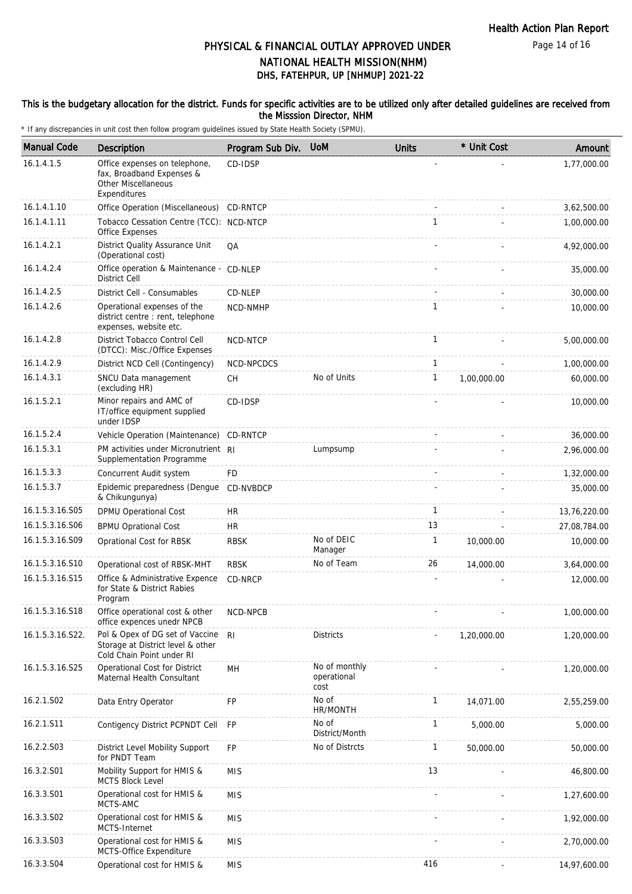Page 14 of 16

## DHS, FATEHPUR, UP [NHMUP] 2021-22 PHYSICAL & FINANCIAL OUTLAY APPROVED UNDER NATIONAL HEALTH MISSION(NHM)

#### This is the budgetary allocation for the district. Funds for specific activities are to be utilized only after detailed guidelines are received from the Misssion Director, NHM

| <b>Manual Code</b> | Description                                                                                       | Program Sub Div. | <b>UoM</b>                           | <b>Units</b> | * Unit Cost | Amount       |
|--------------------|---------------------------------------------------------------------------------------------------|------------------|--------------------------------------|--------------|-------------|--------------|
| 16.1.4.1.5         | Office expenses on telephone,<br>fax, Broadband Expenses &<br>Other Miscellaneous<br>Expenditures | CD-IDSP          |                                      |              |             | 1,77,000.00  |
| 16.1.4.1.10        | Office Operation (Miscellaneous)                                                                  | CD-RNTCP         |                                      |              |             | 3,62,500.00  |
| 16.1.4.1.11        | Tobacco Cessation Centre (TCC): NCD-NTCP<br>Office Expenses                                       |                  |                                      | $\mathbf{1}$ |             | 1,00,000.00  |
| 16.1.4.2.1         | District Quality Assurance Unit<br>(Operational cost)                                             | QA               |                                      |              |             | 4,92,000.00  |
| 16.1.4.2.4         | Office operation & Maintenance - CD-NLEP<br><b>District Cell</b>                                  |                  |                                      |              |             | 35,000.00    |
| 16.1.4.2.5         | District Cell - Consumables                                                                       | CD-NLEP          |                                      |              |             | 30,000.00    |
| 16.1.4.2.6         | Operational expenses of the<br>district centre : rent, telephone<br>expenses, website etc.        | NCD-NMHP         |                                      | $\mathbf{1}$ |             | 10,000.00    |
| 16.1.4.2.8         | District Tobacco Control Cell<br>(DTCC): Misc./Office Expenses                                    | NCD-NTCP         |                                      | $\mathbf{1}$ |             | 5,00,000.00  |
| 16.1.4.2.9         | District NCD Cell (Contingency)                                                                   | NCD-NPCDCS       |                                      | $\mathbf{1}$ |             | 1,00,000.00  |
| 16.1.4.3.1         | SNCU Data management<br>(excluding HR)                                                            | <b>CH</b>        | No of Units                          | $\mathbf{1}$ | 1,00,000.00 | 60,000.00    |
| 16.1.5.2.1         | Minor repairs and AMC of<br>IT/office equipment supplied<br>under IDSP                            | CD-IDSP          |                                      |              |             | 10,000.00    |
| 16.1.5.2.4         | Vehicle Operation (Maintenance)                                                                   | CD-RNTCP         |                                      |              |             | 36,000.00    |
| 16.1.5.3.1         | PM activities under Micronutrient RI<br>Supplementation Programme                                 |                  | Lumpsump                             |              |             | 2,96,000.00  |
| 16.1.5.3.3         | Concurrent Audit system                                                                           | <b>FD</b>        |                                      |              |             | 1,32,000.00  |
| 16.1.5.3.7         | Epidemic preparedness (Dengue<br>& Chikungunya)                                                   | CD-NVBDCP        |                                      |              |             | 35,000.00    |
| 16.1.5.3.16.S05    | DPMU Operational Cost                                                                             | <b>HR</b>        |                                      | $\mathbf{1}$ |             | 13,76,220.00 |
| 16.1.5.3.16.S06    | <b>BPMU Oprational Cost</b>                                                                       | <b>HR</b>        |                                      | 13           |             | 27,08,784.00 |
| 16.1.5.3.16.S09    | Oprational Cost for RBSK                                                                          | <b>RBSK</b>      | No of DEIC<br>Manager                | $\mathbf{1}$ | 10,000.00   | 10,000.00    |
| 16.1.5.3.16.S10    | Operational cost of RBSK-MHT                                                                      | <b>RBSK</b>      | No of Team                           | 26           | 14,000.00   | 3,64,000.00  |
| 16.1.5.3.16.S15    | Office & Administrative Expence<br>for State & District Rabies<br>Program                         | CD-NRCP          |                                      |              |             | 12,000.00    |
| 16.1.5.3.16.S18    | Office operational cost & other<br>office expences unedr NPCB                                     | NCD-NPCB         |                                      |              |             | 1,00,000.00  |
| 16.1.5.3.16.S22.   | Pol & Opex of DG set of Vaccine<br>Storage at District level & other<br>Cold Chain Point under RI | R <sub>l</sub>   | <b>Districts</b>                     |              | 1,20,000.00 | 1,20,000.00  |
| 16.1.5.3.16.S25    | Operational Cost for District<br>Maternal Health Consultant                                       | MН               | No of monthly<br>operational<br>cost |              |             | 1,20,000.00  |
| 16.2.1.S02         | Data Entry Operator                                                                               | FP               | No of<br>HR/MONTH                    | $\mathbf{1}$ | 14,071.00   | 2,55,259.00  |
| 16.2.1.S11         | Contigency District PCPNDT Cell                                                                   | <b>FP</b>        | No of<br>District/Month              | $\mathbf{1}$ | 5,000.00    | 5,000.00     |
| 16.2.2.S03         | District Level Mobility Support<br>for PNDT Team                                                  | <b>FP</b>        | No of Distrcts                       | $\mathbf{1}$ | 50,000.00   | 50,000.00    |
| 16.3.2.S01         | Mobility Support for HMIS &<br>MCTS Block Level                                                   | <b>MIS</b>       |                                      | 13           |             | 46,800.00    |
| 16.3.3.S01         | Operational cost for HMIS &<br>MCTS-AMC                                                           | <b>MIS</b>       |                                      |              |             | 1,27,600.00  |
| 16.3.3.S02         | Operational cost for HMIS &<br>MCTS-Internet                                                      | <b>MIS</b>       |                                      |              |             | 1,92,000.00  |
| 16.3.3.S03         | Operational cost for HMIS &<br>MCTS-Office Expenditure                                            | <b>MIS</b>       |                                      |              |             | 2,70,000.00  |
| 16.3.3.S04         | Operational cost for HMIS &                                                                       | <b>MIS</b>       |                                      | 416          |             | 14,97,600.00 |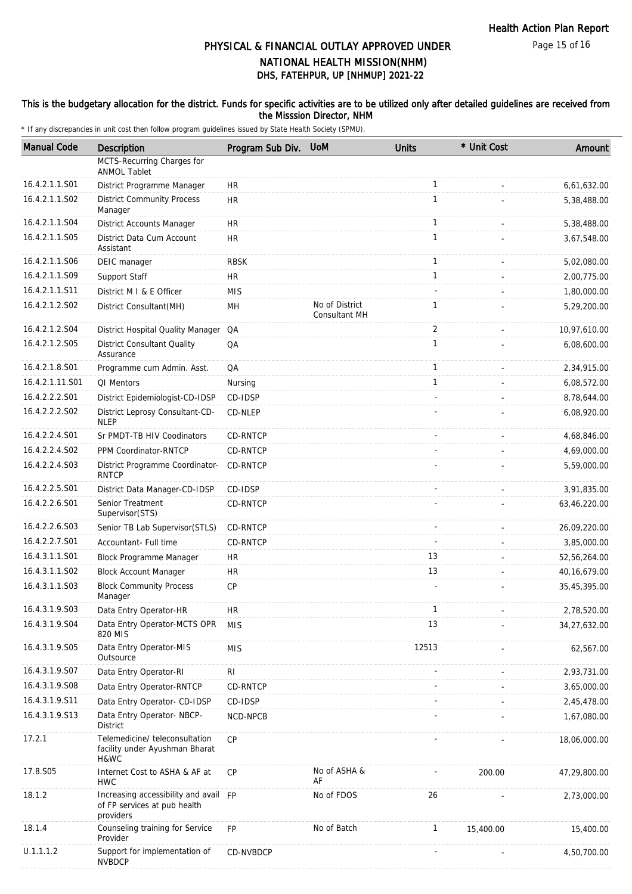Page 15 of 16

# DHS, FATEHPUR, UP [NHMUP] 2021-22 PHYSICAL & FINANCIAL OUTLAY APPROVED UNDER NATIONAL HEALTH MISSION(NHM)

#### This is the budgetary allocation for the district. Funds for specific activities are to be utilized only after detailed guidelines are received from the Misssion Director, NHM

| <b>Manual Code</b> | <b>Description</b>                                                                 | Program Sub Div. UoM |                                 | <b>Units</b> | * Unit Cost | Amount       |
|--------------------|------------------------------------------------------------------------------------|----------------------|---------------------------------|--------------|-------------|--------------|
|                    | MCTS-Recurring Charges for<br><b>ANMOL Tablet</b>                                  |                      |                                 |              |             |              |
| 16.4.2.1.1.S01     | District Programme Manager                                                         | <b>HR</b>            |                                 | $\mathbf{1}$ |             | 6,61,632.00  |
| 16.4.2.1.1.S02     | <b>District Community Process</b><br>Manager                                       | <b>HR</b>            |                                 | $\mathbf{1}$ |             | 5,38,488.00  |
| 16.4.2.1.1.S04     | District Accounts Manager                                                          | <b>HR</b>            |                                 | $\mathbf{1}$ |             | 5,38,488.00  |
| 16.4.2.1.1.S05     | District Data Cum Account<br>Assistant                                             | <b>HR</b>            |                                 | $\mathbf{1}$ |             | 3,67,548.00  |
| 16.4.2.1.1.S06     | DEIC manager                                                                       | <b>RBSK</b>          |                                 | $\mathbf{1}$ |             | 5,02,080.00  |
| 16.4.2.1.1.S09     | Support Staff                                                                      | <b>HR</b>            |                                 | $\mathbf{1}$ |             | 2,00,775.00  |
| 16.4.2.1.1.S11     | District M I & E Officer                                                           | <b>MIS</b>           |                                 |              |             | 1,80,000.00  |
| 16.4.2.1.2.S02     | District Consultant (MH)                                                           | MH                   | No of District<br>Consultant MH | 1            |             | 5,29,200.00  |
| 16.4.2.1.2.S04     | District Hospital Quality Manager QA                                               |                      |                                 | 2            |             | 10,97,610.00 |
| 16.4.2.1.2.S05     | <b>District Consultant Quality</b><br>Assurance                                    | QA                   |                                 | $\mathbf{1}$ |             | 6,08,600.00  |
| 16.4.2.1.8.S01     | Programme cum Admin. Asst.                                                         | QA                   |                                 | $\mathbf{1}$ |             | 2,34,915.00  |
| 16.4.2.1.11.S01    | QI Mentors                                                                         | Nursing              |                                 | $\mathbf{1}$ |             | 6,08,572.00  |
| 16.4.2.2.2.S01     | District Epidemiologist-CD-IDSP                                                    | CD-IDSP              |                                 |              |             | 8,78,644.00  |
| 16.4.2.2.2.S02     | District Leprosy Consultant-CD-<br><b>NLEP</b>                                     | CD-NLEP              |                                 |              |             | 6,08,920.00  |
| 16.4.2.2.4.S01     | Sr PMDT-TB HIV Coodinators                                                         | CD-RNTCP             |                                 |              |             | 4,68,846.00  |
| 16.4.2.2.4.S02     | PPM Coordinator-RNTCP                                                              | CD-RNTCP             |                                 |              |             | 4,69,000.00  |
| 16.4.2.2.4.S03     | District Programme Coordinator-<br><b>RNTCP</b>                                    | CD-RNTCP             |                                 |              |             | 5,59,000.00  |
| 16.4.2.2.5.S01     | District Data Manager-CD-IDSP                                                      | CD-IDSP              |                                 |              |             | 3,91,835.00  |
| 16.4.2.2.6.S01     | Senior Treatment<br>Supervisor (STS)                                               | CD-RNTCP             |                                 |              |             | 63,46,220.00 |
| 16.4.2.2.6.S03     | Senior TB Lab Supervisor(STLS)                                                     | CD-RNTCP             |                                 |              |             | 26,09,220.00 |
| 16.4.2.2.7.S01     | Accountant- Full time                                                              | CD-RNTCP             |                                 |              |             | 3,85,000.00  |
| 16.4.3.1.1.S01     | Block Programme Manager                                                            | HR                   |                                 | 13           |             | 52,56,264.00 |
| 16.4.3.1.1.S02     | <b>Block Account Manager</b>                                                       | <b>HR</b>            |                                 | 13           |             | 40,16,679.00 |
| 16.4.3.1.1.S03     | <b>Block Community Process</b><br>Manager                                          | CP                   |                                 |              |             | 35,45,395.00 |
| 16.4.3.1.9.S03     | Data Entry Operator-HR                                                             | <b>HR</b>            |                                 |              |             | 2,78,520.00  |
| 16.4.3.1.9.S04     | Data Entry Operator-MCTS OPR<br>820 MIS                                            | <b>MIS</b>           |                                 | 13           |             | 34,27,632.00 |
| 16.4.3.1.9.S05     | Data Entry Operator-MIS<br>Outsource                                               | <b>MIS</b>           |                                 | 12513        |             | 62,567.00    |
| 16.4.3.1.9.S07     | Data Entry Operator-RI                                                             | <b>RI</b>            |                                 |              |             | 2,93,731.00  |
| 16.4.3.1.9.S08     | Data Entry Operator-RNTCP                                                          | CD-RNTCP             |                                 |              |             | 3,65,000.00  |
| 16.4.3.1.9.S11     | Data Entry Operator- CD-IDSP                                                       | CD-IDSP              |                                 |              |             | 2,45,478.00  |
| 16.4.3.1.9.S13     | Data Entry Operator-NBCP-<br>District                                              | <b>NCD-NPCB</b>      |                                 |              |             | 1,67,080.00  |
| 17.2.1             | Telemedicine/ teleconsultation<br>facility under Ayushman Bharat<br>H&WC           | CP                   |                                 |              |             | 18,06,000.00 |
| 17.8.S05           | Internet Cost to ASHA & AF at<br><b>HWC</b>                                        | <b>CP</b>            | No of ASHA &<br>AF              |              | 200.00      | 47,29,800.00 |
| 18.1.2             | Increasing accessibility and avail FP<br>of FP services at pub health<br>providers |                      | No of FDOS                      | 26           |             | 2,73,000.00  |
| 18.1.4             | Counseling training for Service<br>Provider                                        | <b>FP</b>            | No of Batch                     | $\mathbf{1}$ | 15,400.00   | 15,400.00    |
| U.1.1.1.2          | Support for implementation of<br><b>NVBDCP</b>                                     | CD-NVBDCP            |                                 |              |             | 4,50,700.00  |